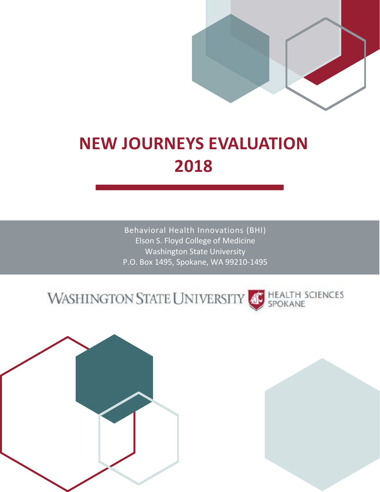

## **NEW JOURNEYS EVALUATION 2018**

Behavioral Health Innovations (BHI) Elson S. Floyd College of Medicine Washington State University P.O. Box 1495, Spokane, WA 99210-1495

### HEALTH SCIENCES<br>SPOKANE **WASHINGTON STATE UNIVERSITY**

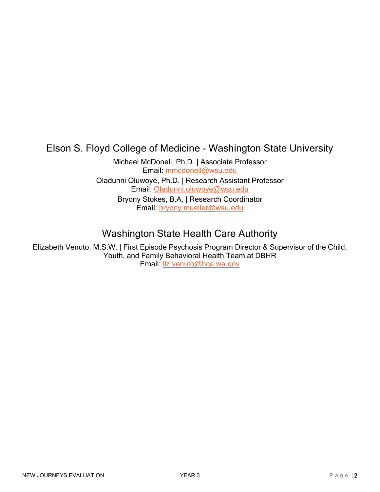## Elson S. Floyd College of Medicine - Washington State University

Michael McDonell, Ph.D. | Associate Professor Email: [mmcdonell@wsu.edu](mailto:mmcdonell@wsu.edu) Oladunni Oluwoye, Ph.D. | Research Assistant Professor Email: [Oladunni.oluwoye@wsu.edu](mailto:Oladunni.oluwoye@wsu.edu) Bryony Stokes, B.A. | Research Coordinator Email: [bryony.mueller@wsu.edu](mailto:bryony.mueller@wsu.edu)

## Washington State Health Care Authority

Elizabeth Venuto, M.S.W. | First Episode Psychosis Program Director & Supervisor of the Child, Youth, and Family Behavioral Health Team at DBHR Email: [liz.venuto@hca.wa.gov](mailto:liz.venuto@hca.wa.gov)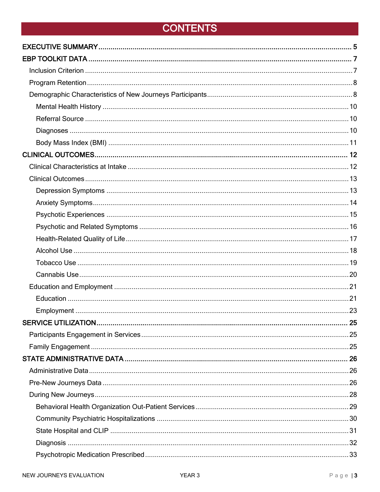## <span id="page-2-1"></span><span id="page-2-0"></span>**CONTENTS**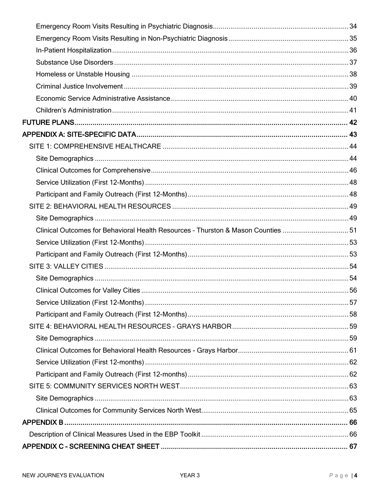| Clinical Outcomes for Behavioral Health Resources - Thurston & Mason Counties 51 |  |
|----------------------------------------------------------------------------------|--|
|                                                                                  |  |
|                                                                                  |  |
|                                                                                  |  |
|                                                                                  |  |
|                                                                                  |  |
|                                                                                  |  |
|                                                                                  |  |
|                                                                                  |  |
|                                                                                  |  |
|                                                                                  |  |
|                                                                                  |  |
|                                                                                  |  |
|                                                                                  |  |
|                                                                                  |  |
|                                                                                  |  |
|                                                                                  |  |
|                                                                                  |  |
|                                                                                  |  |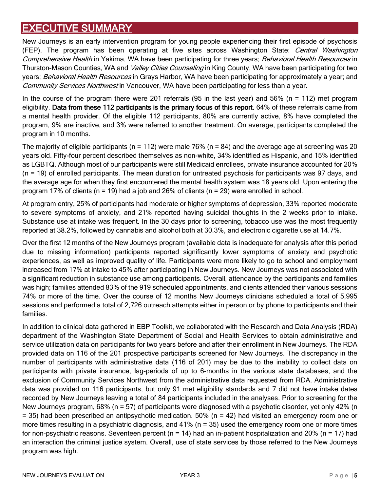## <span id="page-4-0"></span>**EXECUTIVE SUMMARY**

New Journeys is an early intervention program for young people experiencing their first episode of psychosis (FEP). The program has been operating at five sites across Washington State: *Central Washington* Comprehensive Health in Yakima, WA have been participating for three years; Behavioral Health Resources in Thurston-Mason Counties, WA and Valley Cities Counseling in King County, WA have been participating for two years; Behavioral Health Resources in Grays Harbor, WA have been participating for approximately a year; and Community Services Northwest in Vancouver, WA have been participating for less than a year.

In the course of the program there were 201 referrals (95 in the last year) and 56% (n = 112) met program eligibility. Data from these 112 participants is the primary focus of this report. 64% of these referrals came from a mental health provider. Of the eligible 112 participants, 80% are currently active, 8% have completed the program, 9% are inactive, and 3% were referred to another treatment. On average, participants completed the program in 10 months.

The majority of eligible participants ( $n = 112$ ) were male 76% ( $n = 84$ ) and the average age at screening was 20 years old. Fifty-four percent described themselves as non-white, 34% identified as Hispanic, and 15% identified as LGBTQ. Although most of our participants were still Medicaid enrollees, private insurance accounted for 20% (n = 19) of enrolled participants. The mean duration for untreated psychosis for participants was 97 days, and the average age for when they first encountered the mental health system was 18 years old. Upon entering the program 17% of clients (n = 19) had a job and 26% of clients (n = 29) were enrolled in school.

At program entry, 25% of participants had moderate or higher symptoms of depression, 33% reported moderate to severe symptoms of anxiety, and 21% reported having suicidal thoughts in the 2 weeks prior to intake. Substance use at intake was frequent. In the 30 days prior to screening, tobacco use was the most frequently reported at 38.2%, followed by cannabis and alcohol both at 30.3%, and electronic cigarette use at 14.7%.

Over the first 12 months of the New Journeys program (available data is inadequate for analysis after this period due to missing information) participants reported significantly lower symptoms of anxiety and psychotic experiences, as well as improved quality of life. Participants were more likely to go to school and employment increased from 17% at intake to 45% after participating in New Journeys. New Journeys was not associated with a significant reduction in substance use among participants. Overall, attendance by the participants and families was high; families attended 83% of the 919 scheduled appointments, and clients attended their various sessions 74% or more of the time. Over the course of 12 months New Journeys clinicians scheduled a total of 5,995 sessions and performed a total of 2,726 outreach attempts either in person or by phone to participants and their families.

In addition to clinical data gathered in EBP Toolkit, we collaborated with the Research and Data Analysis (RDA) department of the Washington State Department of Social and Health Services to obtain administrative and service utilization data on participants for two years before and after their enrollment in New Journeys. The RDA provided data on 116 of the 201 prospective participants screened for New Journeys. The discrepancy in the number of participants with administrative data (116 of 201) may be due to the inability to collect data on participants with private insurance, lag-periods of up to 6-months in the various state databases, and the exclusion of Community Services Northwest from the administrative data requested from RDA. Administrative data was provided on 116 participants, but only 91 met eligibility standards and 7 did not have intake dates recorded by New Journeys leaving a total of 84 participants included in the analyses. Prior to screening for the New Journeys program, 68% (n = 57) of participants were diagnosed with a psychotic disorder, yet only 42% (n  $=$  35) had been prescribed an antipsychotic medication. 50% (n  $=$  42) had visited an emergency room one or more times resulting in a psychiatric diagnosis, and 41% (n = 35) used the emergency room one or more times for non-psychiatric reasons. Seventeen percent ( $n = 14$ ) had an in-patient hospitalization and 20% ( $n = 17$ ) had an interaction the criminal justice system. Overall, use of state services by those referred to the New Journeys program was high.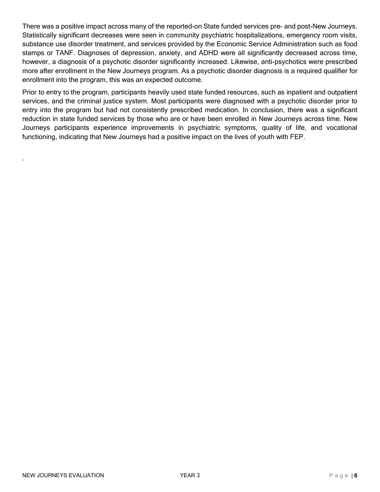There was a positive impact across many of the reported-on State funded services pre- and post-New Journeys. Statistically significant decreases were seen in community psychiatric hospitalizations, emergency room visits, substance use disorder treatment, and services provided by the Economic Service Administration such as food stamps or TANF. Diagnoses of depression, anxiety, and ADHD were all significantly decreased across time, however, a diagnosis of a psychotic disorder significantly increased. Likewise, anti-psychotics were prescribed more after enrollment in the New Journeys program. As a psychotic disorder diagnosis is a required qualifier for enrollment into the program, this was an expected outcome.

Prior to entry to the program, participants heavily used state funded resources, such as inpatient and outpatient services, and the criminal justice system. Most participants were diagnosed with a psychotic disorder prior to entry into the program but had not consistently prescribed medication. In conclusion, there was a significant reduction in state funded services by those who are or have been enrolled in New Journeys across time. New Journeys participants experience improvements in psychiatric symptoms, quality of life, and vocational functioning, indicating that New Journeys had a positive impact on the lives of youth with FEP.

.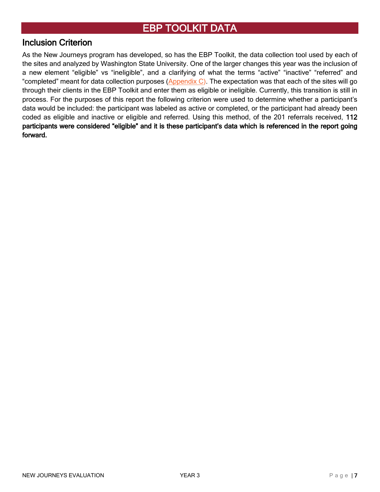### <span id="page-6-0"></span>[EBP TOOLKIT DATA](#page-2-0)

#### <span id="page-6-1"></span>[Inclusion Criterion](#page-2-0)

As the New Journeys program has developed, so has the EBP Toolkit, the data collection tool used by each of the sites and analyzed by Washington State University. One of the larger changes this year was the inclusion of a new element "eligible" vs "ineligible", and a clarifying of what the terms "active" "inactive" "referred" and "completed" meant for data collection purposes [\(Appendix C\)](#page-66-0). The expectation was that each of the sites will go through their clients in the EBP Toolkit and enter them as eligible or ineligible. Currently, this transition is still in process. For the purposes of this report the following criterion were used to determine whether a participant's data would be included: the participant was labeled as active or completed, or the participant had already been coded as eligible and inactive or eligible and referred. Using this method, of the 201 referrals received, 112 participants were considered "eligible" and it is these participant's data which is referenced in the report going forward.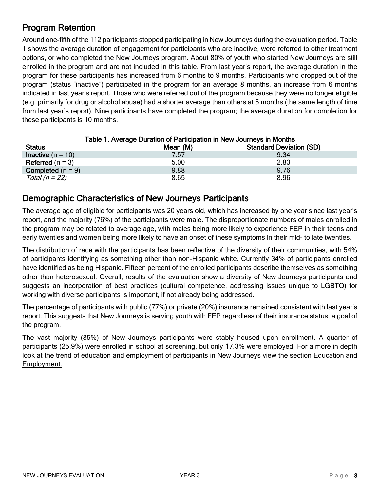## <span id="page-7-0"></span>[Program Retention](#page-2-0)

Around one-fifth of the 112 participants stopped participating in New Journeys during the evaluation period. Table 1 shows the average duration of engagement for participants who are inactive, were referred to other treatment options, or who completed the New Journeys program. About 80% of youth who started New Journeys are still enrolled in the program and are not included in this table. From last year's report, the average duration in the program for these participants has increased from 6 months to 9 months. Participants who dropped out of the program (status "inactive") participated in the program for an average 8 months, an increase from 6 months indicated in last year's report. Those who were referred out of the program because they were no longer eligible (e.g. primarily for drug or alcohol abuse) had a shorter average than others at 5 months (the same length of time from last year's report). Nine participants have completed the program; the average duration for completion for these participants is 10 months.

| <b>Status</b>              | <u>Fable T. Average Duration of Family along the new Journeys In Montres</u><br>Mean (M) | <b>Standard Deviation (SD)</b> |
|----------------------------|------------------------------------------------------------------------------------------|--------------------------------|
| <b>Inactive</b> $(n = 10)$ | 7.57                                                                                     | 9.34                           |
| Referred $(n = 3)$         | 5.00                                                                                     | 2.83                           |
| <b>Completed</b> $(n = 9)$ | 9.88                                                                                     | 9.76                           |
| Total (n = 22)             | 8.65                                                                                     | 8.96                           |

#### Table 1. Average Duration of Participation in New Journeys in Months

#### <span id="page-7-1"></span>[Demographic Characteristics of New Journeys Participants](#page-2-0)

The average age of eligible for participants was 20 years old, which has increased by one year since last year's report, and the majority (76%) of the participants were male. The disproportionate numbers of males enrolled in the program may be related to average age, with males being more likely to experience FEP in their teens and early twenties and women being more likely to have an onset of these symptoms in their mid- to late twenties.

The distribution of race with the participants has been reflective of the diversity of their communities, with 54% of participants identifying as something other than non-Hispanic white. Currently 34% of participants enrolled have identified as being Hispanic. Fifteen percent of the enrolled participants describe themselves as something other than heterosexual. Overall, results of the evaluation show a diversity of New Journeys participants and suggests an incorporation of best practices (cultural competence, addressing issues unique to LGBTQ) for working with diverse participants is important, if not already being addressed.

The percentage of participants with public (77%) or private (20%) insurance remained consistent with last year's report. This suggests that New Journeys is serving youth with FEP regardless of their insurance status, a goal of the program.

The vast majority (85%) of New Journeys participants were stably housed upon enrollment. A quarter of participants (25.9%) were enrolled in school at screening, but only 17.3% were employed. For a more in depth look at the trend of education and employment of participants in New Journeys view the section Education and [Employment.](#page-20-0)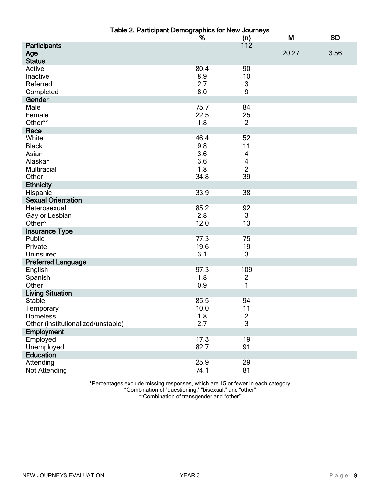|                                      | Table 2. Participant Demographics for New Journeys |                         |       |           |
|--------------------------------------|----------------------------------------------------|-------------------------|-------|-----------|
|                                      | %                                                  | $(n)$<br>112            | M     | <b>SD</b> |
| Participants<br>Age<br><b>Status</b> |                                                    |                         | 20.27 | 3.56      |
| Active                               | 80.4                                               | 90                      |       |           |
| Inactive                             | 8.9                                                | 10                      |       |           |
| Referred                             | 2.7                                                | $\sqrt{3}$              |       |           |
| Completed                            | 8.0                                                | 9                       |       |           |
| Gender                               |                                                    |                         |       |           |
| Male                                 | 75.7                                               | 84                      |       |           |
| Female                               | 22.5                                               | 25                      |       |           |
| Other**                              | 1.8                                                | $\overline{2}$          |       |           |
| Race                                 |                                                    |                         |       |           |
| White                                | 46.4                                               | 52                      |       |           |
| <b>Black</b>                         | 9.8                                                | 11                      |       |           |
| Asian                                | 3.6                                                | 4                       |       |           |
|                                      |                                                    |                         |       |           |
| Alaskan                              | 3.6                                                | $\overline{\mathbf{4}}$ |       |           |
| Multiracial                          | 1.8                                                | $\overline{2}$          |       |           |
| Other                                | 34.8                                               | 39                      |       |           |
| <b>Ethnicity</b>                     |                                                    |                         |       |           |
| Hispanic                             | 33.9                                               | 38                      |       |           |
| <b>Sexual Orientation</b>            |                                                    |                         |       |           |
| Heterosexual                         | 85.2                                               | 92                      |       |           |
| Gay or Lesbian                       | 2.8                                                | 3                       |       |           |
| Other <sup>^</sup>                   | 12.0                                               | 13                      |       |           |
| <b>Insurance Type</b>                |                                                    |                         |       |           |
| Public                               | 77.3                                               | 75                      |       |           |
| Private                              | 19.6                                               | 19                      |       |           |
| Uninsured                            | 3.1                                                | 3                       |       |           |
| <b>Preferred Language</b>            |                                                    |                         |       |           |
| English                              | 97.3                                               | 109                     |       |           |
| Spanish                              | 1.8                                                | $\overline{2}$          |       |           |
| Other                                | 0.9                                                | 1                       |       |           |
| <b>Living Situation</b>              |                                                    |                         |       |           |
| <b>Stable</b>                        | 85.5                                               | 94                      |       |           |
| Temporary                            | 10.0                                               | 11                      |       |           |
| Homeless                             | 1.8                                                |                         |       |           |
| Other (institutionalized/unstable)   | 2.7                                                | $\frac{2}{3}$           |       |           |
| Employment                           |                                                    |                         |       |           |
| Employed                             | 17.3                                               | 19                      |       |           |
| Unemployed                           | 82.7                                               | 91                      |       |           |
| <b>Education</b>                     |                                                    |                         |       |           |
| Attending                            | 25.9                                               | 29                      |       |           |
| Not Attending                        | 74.1                                               | 81                      |       |           |
|                                      |                                                    |                         |       |           |

\*Percentages exclude missing responses, which are 15 or fewer in each category ^Combination of "questioning," "bisexual," and "other" \*\*Combination of transgender and "other"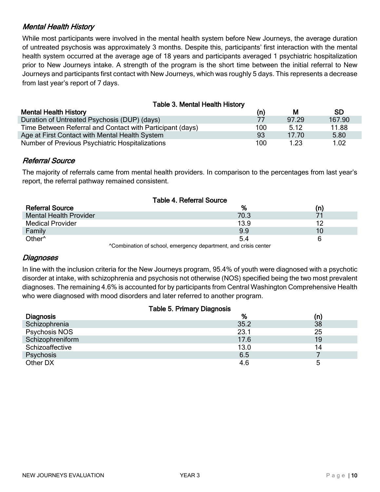#### <span id="page-9-0"></span>[Mental Health History](#page-2-0)

While most participants were involved in the mental health system before New Journeys, the average duration of untreated psychosis was approximately 3 months. Despite this, participants' first interaction with the mental health system occurred at the average age of 18 years and participants averaged 1 psychiatric hospitalization prior to New Journeys intake. A strength of the program is the short time between the initial referral to New Journeys and participants first contact with New Journeys, which was roughly 5 days. This represents a decrease from last year's report of 7 days.

| <b>Table 3. Mental Health History</b>                     |     |       |           |  |  |  |
|-----------------------------------------------------------|-----|-------|-----------|--|--|--|
| <b>Mental Health History</b>                              | (n) | M     | <b>SD</b> |  |  |  |
| Duration of Untreated Psychosis (DUP) (days)              | 77  | 97.29 | 167.90    |  |  |  |
| Time Between Referral and Contact with Participant (days) | 100 | 5.12  | 11.88     |  |  |  |
| Age at First Contact with Mental Health System            | 93  | 17.70 | 5.80      |  |  |  |
| Number of Previous Psychiatric Hospitalizations           | 100 | 1.23  | 1.02      |  |  |  |

#### <span id="page-9-1"></span>[Referral Source](#page-2-0)

The majority of referrals came from mental health providers. In comparison to the percentages from last year's report, the referral pathway remained consistent.

|                                                                        | <b>Table 4. Referral Source</b> |     |  |  |
|------------------------------------------------------------------------|---------------------------------|-----|--|--|
| <b>Referral Source</b>                                                 | %                               | (n) |  |  |
| <b>Mental Health Provider</b>                                          | 70.3                            |     |  |  |
| <b>Medical Provider</b>                                                | 13.9                            | 12  |  |  |
| Family                                                                 | 9.9                             | 10  |  |  |
| Other <sup>^</sup>                                                     | 5.4                             | b   |  |  |
| AComplication of opposition and proposed department and origin applear |                                 |     |  |  |

^Combination of school, emergency department, and crisis center

#### <span id="page-9-2"></span>[Diagnoses](#page-2-0)

In line with the inclusion criteria for the New Journeys program, 95.4% of youth were diagnosed with a psychotic disorder at intake, with schizophrenia and psychosis not otherwise (NOS) specified being the two most prevalent diagnoses. The remaining 4.6% is accounted for by participants from Central Washington Comprehensive Health who were diagnosed with mood disorders and later referred to another program.

| <b>Table 5. Primary Diagnosis</b> |      |     |  |  |
|-----------------------------------|------|-----|--|--|
| <b>Diagnosis</b>                  | %    | (n) |  |  |
| Schizophrenia                     | 35.2 | 38  |  |  |
| Psychosis NOS                     | 23.1 | 25  |  |  |
| Schizophreniform                  | 17.6 | 19  |  |  |
| Schizoaffective                   | 13.0 | 14  |  |  |
| Psychosis                         | 6.5  |     |  |  |
| Other DX                          | 4.6  | 5   |  |  |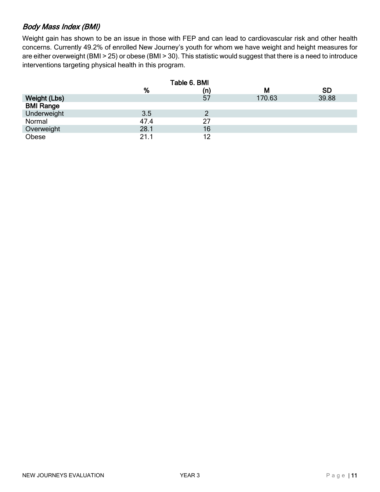#### <span id="page-10-0"></span>[Body Mass Index \(BMI\)](#page-2-0)

Weight gain has shown to be an issue in those with FEP and can lead to cardiovascular risk and other health concerns. Currently 49.2% of enrolled New Journey's youth for whom we have weight and height measures for are either overweight (BMI > 25) or obese (BMI > 30). This statistic would suggest that there is a need to introduce interventions targeting physical health in this program.

|                  |      | Table 6. BMI |        |           |
|------------------|------|--------------|--------|-----------|
|                  | %    | (n)          | M      | <b>SD</b> |
| Weight (Lbs)     |      | 57           | 170.63 | 39.88     |
| <b>BMI Range</b> |      |              |        |           |
| Underweight      | 3.5  |              |        |           |
| Normal           | 47.4 | 27           |        |           |
| Overweight       | 28.1 | 16           |        |           |
| Obese            | 21.1 | 12           |        |           |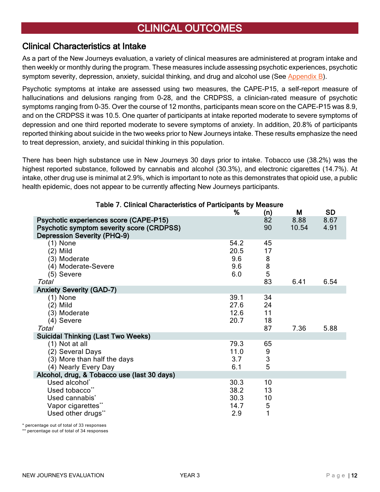## <span id="page-11-0"></span>[CLINICAL OUTCOMES](#page-2-0)

#### <span id="page-11-1"></span>[Clinical Characteristics at Intake](#page-2-0)

As a part of the New Journeys evaluation, a variety of clinical measures are administered at program intake and then weekly or monthly during the program. These measures include assessing psychotic experiences, psychotic symptom severity, depression, anxiety, suicidal thinking, and drug and alcohol use (See [Appendix B\)](#page-65-0).

Psychotic symptoms at intake are assessed using two measures, the CAPE-P15, a self-report measure of hallucinations and delusions ranging from 0-28, and the CRDPSS, a clinician-rated measure of psychotic symptoms ranging from 0-35. Over the course of 12 months, participants mean score on the CAPE-P15 was 8.9, and on the CRDPSS it was 10.5. One quarter of participants at intake reported moderate to severe symptoms of depression and one third reported moderate to severe symptoms of anxiety. In addition, 20.8% of participants reported thinking about suicide in the two weeks prior to New Journeys intake. These results emphasize the need to treat depression, anxiety, and suicidal thinking in this population.

There has been high substance use in New Journeys 30 days prior to intake. Tobacco use (38.2%) was the highest reported substance, followed by cannabis and alcohol (30.3%), and electronic cigarettes (14.7%). At intake, other drug use is minimal at 2.9%, which is important to note as this demonstrates that opioid use, a public health epidemic, does not appear to be currently affecting New Journeys participants.

| Table 7. Cilifical Characteristics of Participatits by Measure                                                                   | ℅                                   | (n)                                  | M             | <b>SD</b>    |
|----------------------------------------------------------------------------------------------------------------------------------|-------------------------------------|--------------------------------------|---------------|--------------|
| Psychotic experiences score (CAPE-P15)<br><b>Psychotic symptom severity score (CRDPSS)</b><br><b>Depression Severity (PHQ-9)</b> |                                     | 82<br>90                             | 8.88<br>10.54 | 8.67<br>4.91 |
| (1) None<br>$(2)$ Mild<br>(3) Moderate<br>(4) Moderate-Severe<br>(5) Severe<br>Total                                             | 54.2<br>20.5<br>9.6<br>9.6<br>6.0   | 45<br>17<br>8<br>$\frac{8}{5}$<br>83 | 6.41          | 6.54         |
| <b>Anxiety Severity (GAD-7)</b>                                                                                                  |                                     |                                      |               |              |
| (1) None<br>(2) Mild<br>(3) Moderate<br>(4) Severe                                                                               | 39.1<br>27.6<br>12.6<br>20.7        | 34<br>24<br>11<br>18                 |               |              |
| Total                                                                                                                            |                                     | 87                                   | 7.36          | 5.88         |
| <b>Suicidal Thinking (Last Two Weeks)</b>                                                                                        |                                     |                                      |               |              |
| (1) Not at all<br>(2) Several Days<br>(3) More than half the days<br>(4) Nearly Every Day                                        | 79.3<br>11.0<br>3.7<br>6.1          | 65<br>$\frac{9}{3}$<br>5             |               |              |
| Alcohol, drug, & Tobacco use (last 30 days)                                                                                      |                                     |                                      |               |              |
| Used alcohol*<br>Used tobacco**<br>Used cannabis <sup>*</sup><br>Vapor cigarettes**<br>Used other drugs**                        | 30.3<br>38.2<br>30.3<br>14.7<br>2.9 | 10<br>13<br>10<br>5<br>1             |               |              |

#### Table 7. Clinical Characteristics of Participants by Measure

\* percentage out of total of 33 responses

\*\* percentage out of total of 34 responses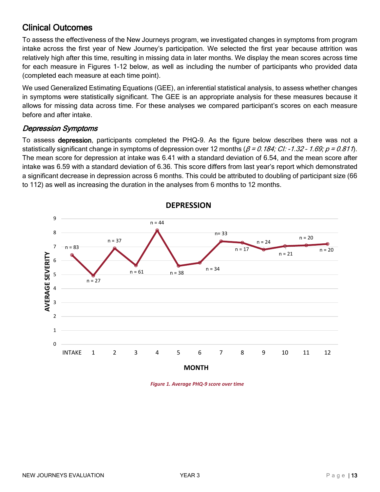### <span id="page-12-0"></span>[Clinical Outcomes](#page-2-0)

To assess the effectiveness of the New Journeys program, we investigated changes in symptoms from program intake across the first year of New Journey's participation. We selected the first year because attrition was relatively high after this time, resulting in missing data in later months. We display the mean scores across time for each measure in Figures 1-12 below, as well as including the number of participants who provided data (completed each measure at each time point).

We used Generalized Estimating Equations (GEE), an inferential statistical analysis, to assess whether changes in symptoms were statistically significant. The GEE is an appropriate analysis for these measures because it allows for missing data across time. For these analyses we compared participant's scores on each measure before and after intake.

#### <span id="page-12-1"></span>[Depression Symptoms](#page-2-0)

To assess depression, participants completed the PHQ-9. As the figure below describes there was not a statistically significant change in symptoms of depression over 12 months ( $\beta$  = 0.184; CI: -1.32 - 1.69; p = 0.811). The mean score for depression at intake was 6.41 with a standard deviation of 6.54, and the mean score after intake was 6.59 with a standard deviation of 6.36. This score differs from last year's report which demonstrated a significant decrease in depression across 6 months. This could be attributed to doubling of participant size (66 to 112) as well as increasing the duration in the analyses from 6 months to 12 months.



**DEPRESSION**

*Figure 1. Average PHQ-9 score over time*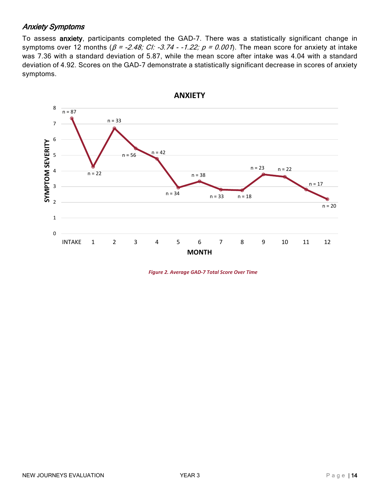#### <span id="page-13-0"></span>[Anxiety Symptoms](#page-2-0)

To assess anxiety, participants completed the GAD-7. There was a statistically significant change in symptoms over 12 months ( $\beta$  = -2.48; CI: -3.74 - -1.22;  $p = 0.001$ ). The mean score for anxiety at intake was 7.36 with a standard deviation of 5.87, while the mean score after intake was 4.04 with a standard deviation of 4.92. Scores on the GAD-7 demonstrate a statistically significant decrease in scores of anxiety symptoms.



*Figure 2. Average GAD-7 Total Score Over Time*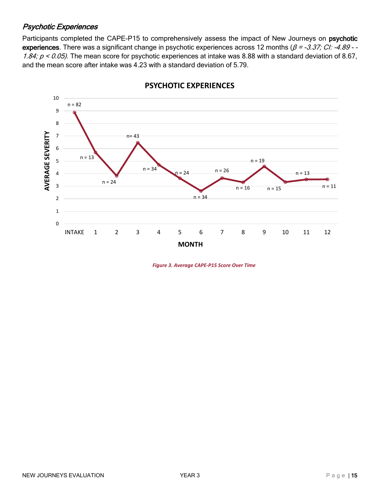#### <span id="page-14-0"></span>[Psychotic Experiences](#page-2-0)

Participants completed the CAPE-P15 to comprehensively assess the impact of New Journeys on psychotic experiences. There was a significant change in psychotic experiences across 12 months ( $\beta$  = -3.37; CI: -4.89 - -1.84;  $p < 0.05$ ). The mean score for psychotic experiences at intake was 8.88 with a standard deviation of 8.67, and the mean score after intake was 4.23 with a standard deviation of 5.79.



#### **PSYCHOTIC EXPERIENCES**

*Figure 3. Average CAPE-P15 Score Over Time*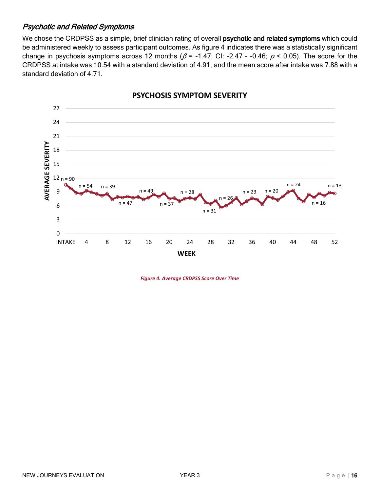#### <span id="page-15-0"></span>[Psychotic and Related Symptoms](#page-2-0)

We chose the CRDPSS as a simple, brief clinician rating of overall psychotic and related symptoms which could be administered weekly to assess participant outcomes. As figure 4 indicates there was a statistically significant change in psychosis symptoms across 12 months ( $\beta$  = -1.47; CI: -2.47 - -0.46;  $\rho$  < 0.05). The score for the CRDPSS at intake was 10.54 with a standard deviation of 4.91, and the mean score after intake was 7.88 with a standard deviation of 4.71.



**PSYCHOSIS SYMPTOM SEVERITY**

*Figure 4. Average CRDPSS Score Over Time*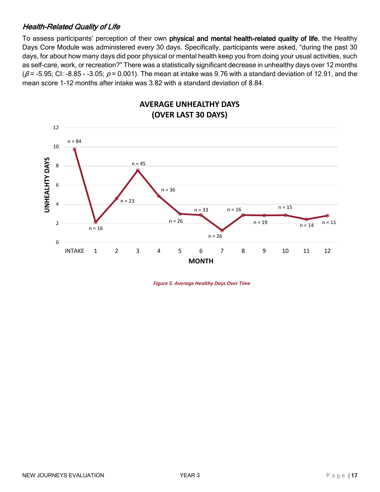#### <span id="page-16-0"></span>[Health-Related Quality of Life](#page-2-0)

To assess participants' perception of their own physical and mental health-related quality of life, the Healthy Days Core Module was administered every 30 days. Specifically, participants were asked, "during the past 30 days, for about how many days did poor physical or mental health keep you from doing your usual activities, such as self-care, work, or recreation?" There was a statistically significant decrease in unhealthy days over 12 months  $(\beta = -5.95; C$ I: -8.85 - -3.05;  $\rho = 0.001$ ). The mean at intake was 9.76 with a standard deviation of 12.91, and the mean score 1-12 months after intake was 3.82 with a standard deviation of 8.84.



**AVERAGE UNHEALTHY DAYS**

*Figure 5. Average Healthy Days Over Time*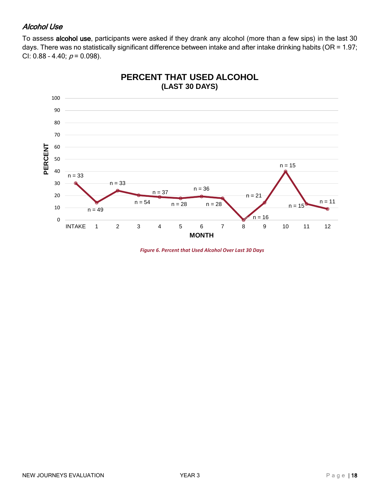#### <span id="page-17-0"></span>[Alcohol Use](#page-2-0)

To assess alcohol use, participants were asked if they drank any alcohol (more than a few sips) in the last 30 days. There was no statistically significant difference between intake and after intake drinking habits (OR = 1.97; CI: 0.88 - 4.40;  $p = 0.098$ ).



*Figure 6. Percent that Used Alcohol Over Last 30 Days*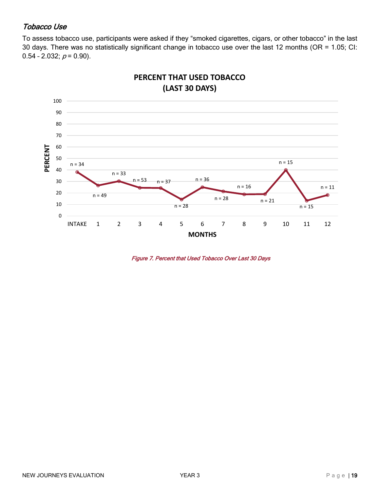#### <span id="page-18-0"></span>[Tobacco Use](#page-2-0)

To assess tobacco use, participants were asked if they "smoked cigarettes, cigars, or other tobacco" in the last 30 days. There was no statistically significant change in tobacco use over the last 12 months (OR = 1.05; CI:  $0.54 - 2.032$ ;  $p = 0.90$ ).



**PERCENT THAT USED TOBACCO (LAST 30 DAYS)**

Figure 7. Percent that Used Tobacco Over Last 30 Days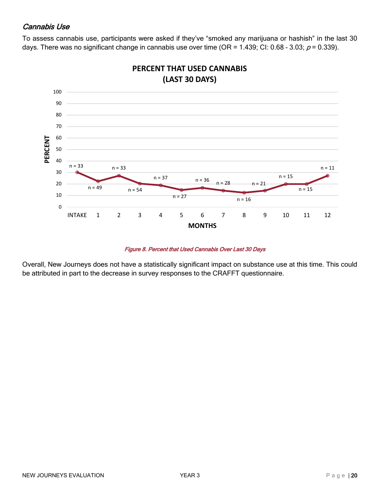#### <span id="page-19-0"></span>[Cannabis Use](#page-2-0)

To assess cannabis use, participants were asked if they've "smoked any marijuana or hashish" in the last 30 days. There was no significant change in cannabis use over time (OR = 1.439; CI: 0.68 - 3.03;  $p = 0.339$ ).



## **PERCENT THAT USED CANNABIS**

#### Figure 8. Percent that Used Cannabis Over Last 30 Days

Overall, New Journeys does not have a statistically significant impact on substance use at this time. This could be attributed in part to the decrease in survey responses to the CRAFFT questionnaire.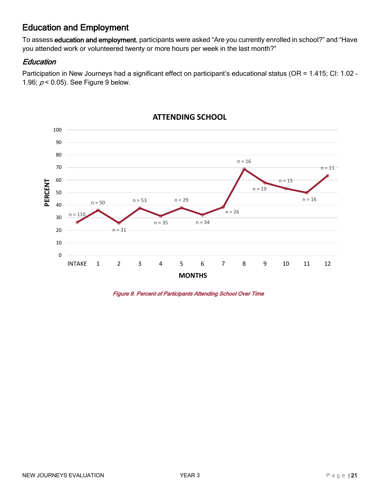### <span id="page-20-0"></span>[Education and Employment](#page-2-0)

To assess education and employment, participants were asked "Are you currently enrolled in school?" and "Have you attended work or volunteered twenty or more hours per week in the last month?"

#### <span id="page-20-1"></span>**Education**

Participation in New Journeys had a significant effect on participant's educational status (OR = 1.415; CI: 1.02 -1.96;  $p < 0.05$ ). See Figure 9 below.



#### **ATTENDING SCHOOL**

Figure 9. Percent of Participants Attending School Over Time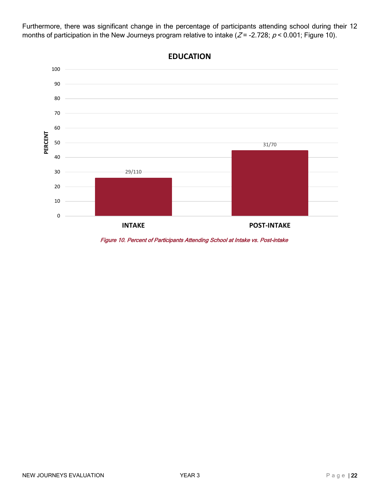Furthermore, there was significant change in the percentage of participants attending school during their 12 months of participation in the New Journeys program relative to intake ( $Z = -2.728$ ;  $p < 0.001$ ; Figure 10).



**EDUCATION**

Figure 10. Percent of Participants Attending School at Intake vs. Post-intake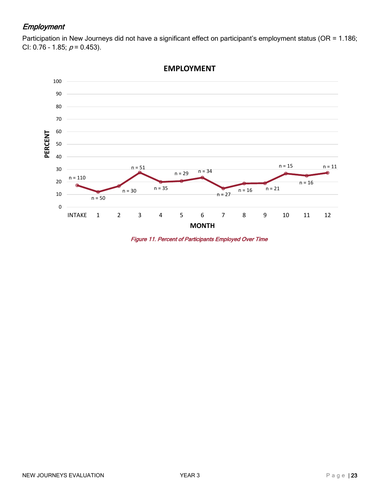#### <span id="page-22-0"></span>[Employment](#page-2-0)

Participation in New Journeys did not have a significant effect on participant's employment status (OR = 1.186; CI: 0.76 - 1.85;  $p = 0.453$ ).



**EMPLOYMENT**

Figure 11. Percent of Participants Employed Over Time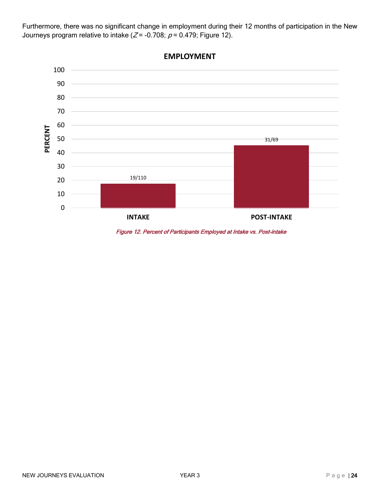Furthermore, there was no significant change in employment during their 12 months of participation in the New Journeys program relative to intake ( $Z = -0.708$ ;  $p = 0.479$ ; Figure 12).



**EMPLOYMENT**

Figure 12. Percent of Participants Employed at Intake vs. Post-intake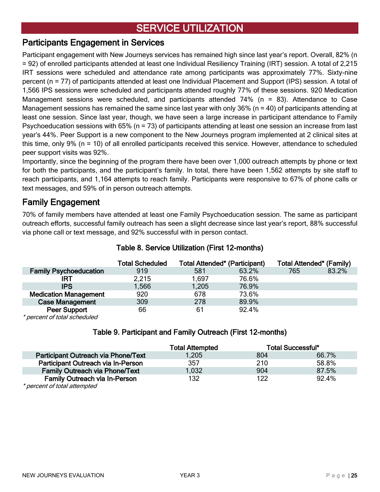## <span id="page-24-0"></span>**SERVICE UTILIZATION**

#### <span id="page-24-1"></span>[Participants Engagement in Services](#page-2-0)

Participant engagement with New Journeys services has remained high since last year's report. Overall, 82% (n = 92) of enrolled participants attended at least one Individual Resiliency Training (IRT) session. A total of 2,215 IRT sessions were scheduled and attendance rate among participants was approximately 77%. Sixty-nine percent (n = 77) of participants attended at least one Individual Placement and Support (IPS) session. A total of 1,566 IPS sessions were scheduled and participants attended roughly 77% of these sessions. 920 Medication Management sessions were scheduled, and participants attended 74% (n = 83). Attendance to Case Management sessions has remained the same since last year with only 36% ( $n = 40$ ) of participants attending at least one session. Since last year, though, we have seen a large increase in participant attendance to Family Psychoeducation sessions with 65% (n = 73) of participants attending at least one session an increase from last year's 44%. Peer Support is a new component to the New Journeys program implemented at 2 clinical sites at this time, only 9% (n = 10) of all enrolled participants received this service. However, attendance to scheduled peer support visits was 92%.

Importantly, since the beginning of the program there have been over 1,000 outreach attempts by phone or text for both the participants, and the participant's family. In total, there have been 1,562 attempts by site staff to reach participants, and 1,164 attempts to reach family. Participants were responsive to 67% of phone calls or text messages, and 59% of in person outreach attempts.

#### <span id="page-24-2"></span>[Family Engagement](#page-2-0)

70% of family members have attended at least one Family Psychoeducation session. The same as participant outreach efforts, successful family outreach has seen a slight decrease since last year's report, 88% successful via phone call or text message, and 92% successful with in person contact.

#### Table 8. Service Utilization (First 12-months)

|                               | <b>Total Scheduled</b> | <b>Total Attended* (Participant)</b> |       | <b>Total Attended* (Family)</b> |       |
|-------------------------------|------------------------|--------------------------------------|-------|---------------------------------|-------|
| <b>Family Psychoeducation</b> | 919                    | 581                                  | 63.2% | 765                             | 83.2% |
| IRT                           | 2,215                  | 1.697                                | 76.6% |                                 |       |
| <b>IPS</b>                    | 1,566                  | 1,205                                | 76.9% |                                 |       |
| <b>Medication Management</b>  | 920                    | 678                                  | 73.6% |                                 |       |
| <b>Case Management</b>        | 309                    | 278                                  | 89.9% |                                 |       |
| <b>Peer Support</b><br>.      | 66                     | 61                                   | 92.4% |                                 |       |

\* percent of total scheduled

#### Table 9. Participant and Family Outreach (First 12-months)

|                                       | <b>Total Attempted</b> |     | <b>Total Successful*</b> |
|---------------------------------------|------------------------|-----|--------------------------|
| Participant Outreach via Phone/Text   | 1,205                  | 804 | 66.7%                    |
| Participant Outreach via In-Person    | 357                    | 210 | 58.8%                    |
| <b>Family Outreach via Phone/Text</b> | 1,032                  | 904 | 87.5%                    |
| <b>Family Outreach via In-Person</b>  | 132                    | 122 | 92.4%                    |
| $*$ noroont of total ottomptod        |                        |     |                          |

percent of total attempted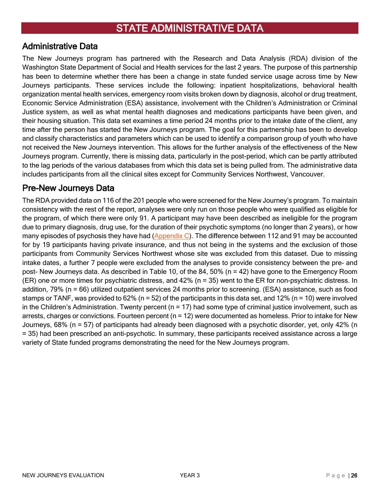#### <span id="page-25-1"></span><span id="page-25-0"></span>[Administrative Data](#page-2-0)

The New Journeys program has partnered with the Research and Data Analysis (RDA) division of the Washington State Department of Social and Health services for the last 2 years. The purpose of this partnership has been to determine whether there has been a change in state funded service usage across time by New Journeys participants. These services include the following: inpatient hospitalizations, behavioral health organization mental health services, emergency room visits broken down by diagnosis, alcohol or drug treatment, Economic Service Administration (ESA) assistance, involvement with the Children's Administration or Criminal Justice system, as well as what mental health diagnoses and medications participants have been given, and their housing situation. This data set examines a time period 24 months prior to the intake date of the client, any time after the person has started the New Journeys program. The goal for this partnership has been to develop and classify characteristics and parameters which can be used to identify a comparison group of youth who have not received the New Journeys intervention. This allows for the further analysis of the effectiveness of the New Journeys program. Currently, there is missing data, particularly in the post-period, which can be partly attributed to the lag periods of the various databases from which this data set is being pulled from. The administrative data includes participants from all the clinical sites except for Community Services Northwest, Vancouver.

### <span id="page-25-2"></span>[Pre-New Journeys Data](#page-2-0)

The RDA provided data on 116 of the 201 people who were screened for the New Journey's program. To maintain consistency with the rest of the report, analyses were only run on those people who were qualified as eligible for the program, of which there were only 91. A participant may have been described as ineligible for the program due to primary diagnosis, drug use, for the duration of their psychotic symptoms (no longer than 2 years), or how many episodes of psychosis they have had  $(Appendix C)$ . The difference between 112 and 91 may be accounted for by 19 participants having private insurance, and thus not being in the systems and the exclusion of those participants from Community Services Northwest whose site was excluded from this dataset. Due to missing intake dates, a further 7 people were excluded from the analyses to provide consistency between the pre- and post- New Journeys data. As described in Table 10, of the 84, 50% (n = 42) have gone to the Emergency Room (ER) one or more times for psychiatric distress, and 42% (n = 35) went to the ER for non-psychiatric distress. In addition, 79% (n = 66) utilized outpatient services 24 months prior to screening. (ESA) assistance, such as food stamps or TANF, was provided to 62% ( $n = 52$ ) of the participants in this data set, and 12% ( $n = 10$ ) were involved in the Children's Administration. Twenty percent ( $n = 17$ ) had some type of criminal justice involvement, such as arrests, charges or convictions. Fourteen percent (n = 12) were documented as homeless. Prior to intake for New Journeys, 68% (n = 57) of participants had already been diagnosed with a psychotic disorder, yet, only 42% (n = 35) had been prescribed an anti-psychotic. In summary, these participants received assistance across a large variety of State funded programs demonstrating the need for the New Journeys program.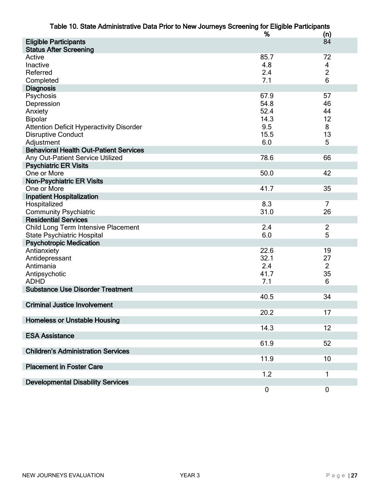| Table 10. State Administrative Data Prior to New Journeys Screening for Eligible Participants |             |                |  |  |
|-----------------------------------------------------------------------------------------------|-------------|----------------|--|--|
|                                                                                               | %           | (n)            |  |  |
| <b>Eligible Participants</b>                                                                  |             | 84             |  |  |
| <b>Status After Screening</b>                                                                 |             |                |  |  |
| Active                                                                                        | 85.7        | 72             |  |  |
| Inactive                                                                                      | 4.8         | 4              |  |  |
| Referred                                                                                      | 2.4         | $\overline{2}$ |  |  |
| Completed                                                                                     | 7.1         | 6              |  |  |
| <b>Diagnosis</b>                                                                              |             |                |  |  |
| Psychosis                                                                                     | 67.9        | 57             |  |  |
| Depression                                                                                    | 54.8        | 46             |  |  |
| Anxiety                                                                                       | 52.4        | 44             |  |  |
| <b>Bipolar</b>                                                                                | 14.3        | 12             |  |  |
| <b>Attention Deficit Hyperactivity Disorder</b>                                               | 9.5         | 8              |  |  |
| <b>Disruptive Conduct</b>                                                                     | 15.5        | 13             |  |  |
| Adjustment                                                                                    | 6.0         | 5              |  |  |
| <b>Behavioral Health Out-Patient Services</b>                                                 |             |                |  |  |
|                                                                                               |             | 66             |  |  |
| Any Out-Patient Service Utilized                                                              | 78.6        |                |  |  |
| <b>Psychiatric ER Visits</b>                                                                  |             |                |  |  |
| One or More                                                                                   | 50.0        | 42             |  |  |
| <b>Non-Psychiatric ER Visits</b>                                                              |             |                |  |  |
| One or More                                                                                   | 41.7        | 35             |  |  |
| <b>Inpatient Hospitalization</b>                                                              |             |                |  |  |
| Hospitalized                                                                                  | 8.3         | $\overline{7}$ |  |  |
| <b>Community Psychiatric</b>                                                                  | 31.0        | 26             |  |  |
| <b>Residential Services</b>                                                                   |             |                |  |  |
| Child Long Term Intensive Placement                                                           | 2.4         | $\overline{2}$ |  |  |
| <b>State Psychiatric Hospital</b>                                                             | 6.0         | 5              |  |  |
| <b>Psychotropic Medication</b>                                                                |             |                |  |  |
| Antianxiety                                                                                   | 22.6        | 19             |  |  |
| Antidepressant                                                                                | 32.1        | 27             |  |  |
| Antimania                                                                                     | 2.4         | $\overline{2}$ |  |  |
| Antipsychotic                                                                                 | 41.7        | 35             |  |  |
| <b>ADHD</b>                                                                                   | 7.1         | 6              |  |  |
| <b>Substance Use Disorder Treatment</b>                                                       |             |                |  |  |
|                                                                                               | 40.5        | 34             |  |  |
| <b>Criminal Justice Involvement</b>                                                           |             |                |  |  |
|                                                                                               | 20.2        | 17             |  |  |
| <b>Homeless or Unstable Housing</b>                                                           |             |                |  |  |
|                                                                                               | 14.3        | 12             |  |  |
| <b>ESA Assistance</b>                                                                         |             |                |  |  |
|                                                                                               | 61.9        | 52             |  |  |
| <b>Children's Administration Services</b>                                                     |             |                |  |  |
|                                                                                               | 11.9        | 10             |  |  |
| <b>Placement in Foster Care</b>                                                               |             |                |  |  |
|                                                                                               | 1.2         | 1              |  |  |
| <b>Developmental Disability Services</b>                                                      |             |                |  |  |
|                                                                                               | $\mathbf 0$ | $\pmb{0}$      |  |  |
|                                                                                               |             |                |  |  |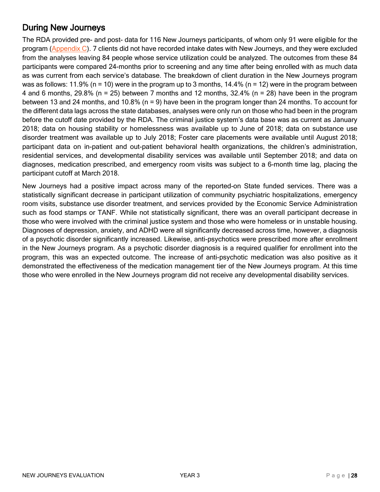### <span id="page-27-0"></span>[During New Journeys](#page-2-0)

The RDA provided pre- and post- data for 116 New Journeys participants, of whom only 91 were eligible for the program [\(Appendix C\)](#page-66-0). 7 clients did not have recorded intake dates with New Journeys, and they were excluded from the analyses leaving 84 people whose service utilization could be analyzed. The outcomes from these 84 participants were compared 24-months prior to screening and any time after being enrolled with as much data as was current from each service's database. The breakdown of client duration in the New Journeys program was as follows: 11.9% (n = 10) were in the program up to 3 months,  $14.4%$  (n = 12) were in the program between 4 and 6 months, 29.8% (n = 25) between 7 months and 12 months,  $32.4\%$  (n = 28) have been in the program between 13 and 24 months, and 10.8% (n = 9) have been in the program longer than 24 months. To account for the different data lags across the state databases, analyses were only run on those who had been in the program before the cutoff date provided by the RDA. The criminal justice system's data base was as current as January 2018; data on housing stability or homelessness was available up to June of 2018; data on substance use disorder treatment was available up to July 2018; Foster care placements were available until August 2018; participant data on in-patient and out-patient behavioral health organizations, the children's administration, residential services, and developmental disability services was available until September 2018; and data on diagnoses, medication prescribed, and emergency room visits was subject to a 6-month time lag, placing the participant cutoff at March 2018.

New Journeys had a positive impact across many of the reported-on State funded services. There was a statistically significant decrease in participant utilization of community psychiatric hospitalizations, emergency room visits, substance use disorder treatment, and services provided by the Economic Service Administration such as food stamps or TANF. While not statistically significant, there was an overall participant decrease in those who were involved with the criminal justice system and those who were homeless or in unstable housing. Diagnoses of depression, anxiety, and ADHD were all significantly decreased across time, however, a diagnosis of a psychotic disorder significantly increased. Likewise, anti-psychotics were prescribed more after enrollment in the New Journeys program. As a psychotic disorder diagnosis is a required qualifier for enrollment into the program, this was an expected outcome. The increase of anti-psychotic medication was also positive as it demonstrated the effectiveness of the medication management tier of the New Journeys program. At this time those who were enrolled in the New Journeys program did not receive any developmental disability services.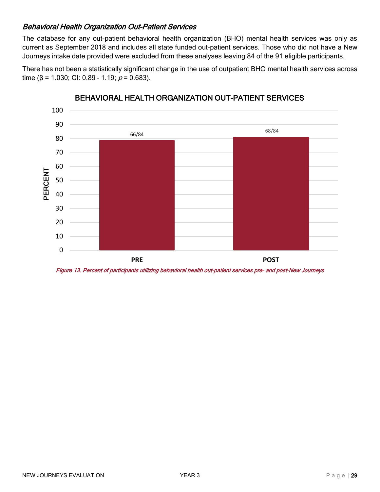#### <span id="page-28-0"></span>[Behavioral Health Organization Out-Patient Services](#page-2-0)

The database for any out-patient behavioral health organization (BHO) mental health services was only as current as September 2018 and includes all state funded out-patient services. Those who did not have a New Journeys intake date provided were excluded from these analyses leaving 84 of the 91 eligible participants.





#### BEHAVIORAL HEALTH ORGANIZATION OUT-PATIENT SERVICES

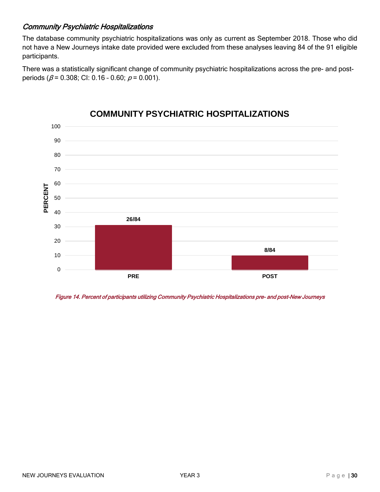#### <span id="page-29-0"></span>Community Psychiatric Hospitalizations

The database community psychiatric hospitalizations was only as current as September 2018. Those who did not have a New Journeys intake date provided were excluded from these analyses leaving 84 of the 91 eligible participants.

There was a statistically significant change of community psychiatric hospitalizations across the pre- and postperiods ( $\beta$  = 0.308; CI: 0.16 - 0.60;  $\rho$  = 0.001).



### **COMMUNITY PSYCHIATRIC HOSPITALIZATIONS**

Figure 14. Percent of participants utilizing Community Psychiatric Hospitalizations pre- and post-New Journeys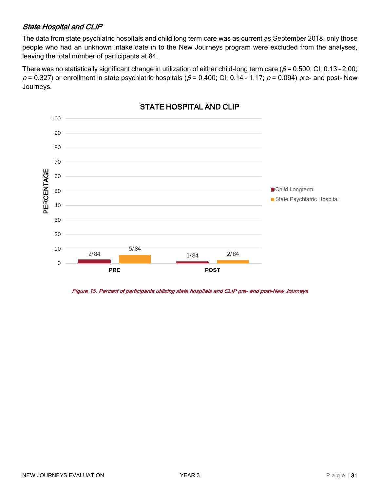#### <span id="page-30-0"></span>State Hospital and CLIP

The data from state psychiatric hospitals and child long term care was as current as September 2018; only those people who had an unknown intake date in to the New Journeys program were excluded from the analyses, leaving the total number of participants at 84.

There was no statistically significant change in utilization of either child-long term care ( $\beta$  = 0.500; CI: 0.13 - 2.00;  $p = 0.327$ ) or enrollment in state psychiatric hospitals ( $\beta$  = 0.400; CI: 0.14 - 1.17;  $p$  = 0.094) pre- and post- New Journeys.



#### STATE HOSPITAL AND CLIP

Figure 15. Percent of participants utilizing state hospitals and CLIP pre- and post-New Journeys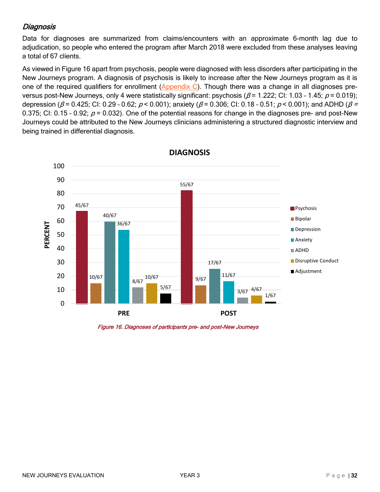#### <span id="page-31-0"></span>[Diagnosis](#page-2-0)

Data for diagnoses are summarized from claims/encounters with an approximate 6-month lag due to adjudication, so people who entered the program after March 2018 were excluded from these analyses leaving a total of 67 clients.

As viewed in Figure 16 apart from psychosis, people were diagnosed with less disorders after participating in the New Journeys program. A diagnosis of psychosis is likely to increase after the New Journeys program as it is one of the required qualifiers for enrollment [\(Appendix C\)](#page-66-0). Though there was a change in all diagnoses preversus post-New Journeys, only 4 were statistically significant: psychosis ( $\beta$  = 1.222; CI: 1.03 - 1.45;  $\rho$  = 0.019); depression (β = 0.425; CI: 0.29 - 0.62;  $p < 0.001$ ); anxiety (β = 0.306; CI: 0.18 - 0.51;  $p < 0.001$ ); and ADHD (β = 0.375; CI: 0.15 - 0.92;  $p = 0.032$ ). One of the potential reasons for change in the diagnoses pre- and post-New Journeys could be attributed to the New Journeys clinicians administering a structured diagnostic interview and being trained in differential diagnosis.



**DIAGNOSIS**

Figure 16. Diagnoses of participants pre- and post-New Journeys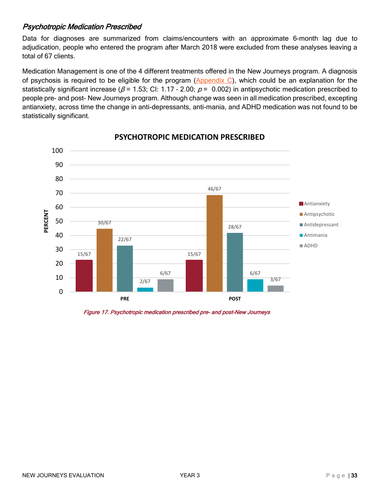#### <span id="page-32-0"></span>[Psychotropic Medication Prescribed](#page-2-0)

Data for diagnoses are summarized from claims/encounters with an approximate 6-month lag due to adjudication, people who entered the program after March 2018 were excluded from these analyses leaving a total of 67 clients.

Medication Management is one of the 4 different treatments offered in the New Journeys program. A diagnosis of psychosis is required to be eligible for the program (Appendix  $C$ ), which could be an explanation for the statistically significant increase ( $\beta$  = 1.53; CI: 1.17 - 2.00;  $\rho$  = 0.002) in antipsychotic medication prescribed to people pre- and post- New Journeys program. Although change was seen in all medication prescribed, excepting antianxiety, across time the change in anti-depressants, anti-mania, and ADHD medication was not found to be statistically significant.



#### **PSYCHOTROPIC MEDICATION PRESCRIBED**

Figure 17. Psychotropic medication prescribed pre- and post-New Journeys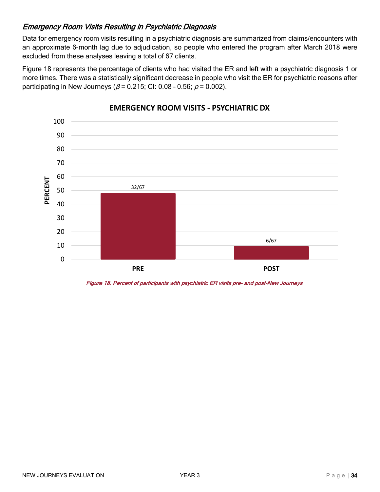#### <span id="page-33-0"></span>[Emergency Room Visits Resulting in Psychiatric Diagnosis](#page-2-0)

Data for emergency room visits resulting in a psychiatric diagnosis are summarized from claims/encounters with an approximate 6-month lag due to adjudication, so people who entered the program after March 2018 were excluded from these analyses leaving a total of 67 clients.

Figure 18 represents the percentage of clients who had visited the ER and left with a psychiatric diagnosis 1 or more times. There was a statistically significant decrease in people who visit the ER for psychiatric reasons after participating in New Journeys ( $\beta$  = 0.215; CI: 0.08 - 0.56;  $\rho$  = 0.002).



#### **EMERGENCY ROOM VISITS - PSYCHIATRIC DX**

Figure 18. Percent of participants with psychiatric ER visits pre- and post-New Journeys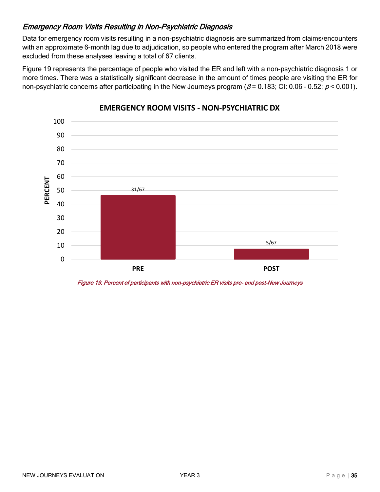#### <span id="page-34-0"></span>[Emergency Room Visits Resulting in Non-Psychiatric Diagnosis](#page-2-0)

Data for emergency room visits resulting in a non-psychiatric diagnosis are summarized from claims/encounters with an approximate 6-month lag due to adjudication, so people who entered the program after March 2018 were excluded from these analyses leaving a total of 67 clients.

Figure 19 represents the percentage of people who visited the ER and left with a non-psychiatric diagnosis 1 or more times. There was a statistically significant decrease in the amount of times people are visiting the ER for non-psychiatric concerns after participating in the New Journeys program ( $\beta$  = 0.183; CI: 0.06 - 0.52;  $p$  < 0.001).



#### **EMERGENCY ROOM VISITS - NON-PSYCHIATRIC DX**

Figure 19. Percent of participants with non-psychiatric ER visits pre- and post-New Journeys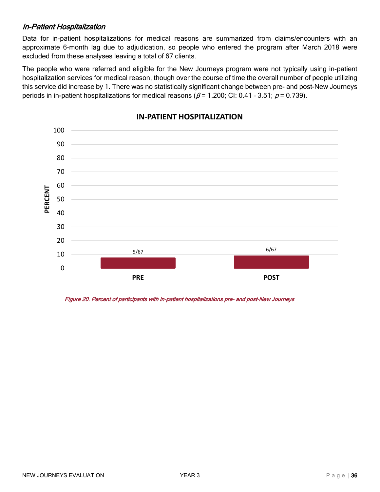#### <span id="page-35-0"></span>[In-Patient Hospitalization](#page-2-0)

Data for in-patient hospitalizations for medical reasons are summarized from claims/encounters with an approximate 6-month lag due to adjudication, so people who entered the program after March 2018 were excluded from these analyses leaving a total of 67 clients.

The people who were referred and eligible for the New Journeys program were not typically using in-patient hospitalization services for medical reason, though over the course of time the overall number of people utilizing this service did increase by 1. There was no statistically significant change between pre- and post-New Journeys periods in in-patient hospitalizations for medical reasons ( $\beta$  = 1.200; CI: 0.41 - 3.51;  $\rho$  = 0.739).



#### **IN-PATIENT HOSPITALIZATION**

Figure 20. Percent of participants with in-patient hospitalizations pre- and post-New Journeys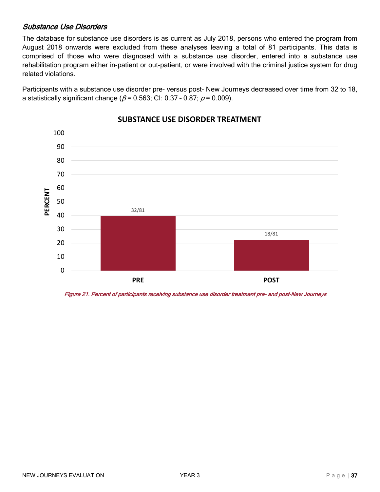#### <span id="page-36-0"></span>[Substance Use Disorders](#page-2-0)

The database for substance use disorders is as current as July 2018, persons who entered the program from August 2018 onwards were excluded from these analyses leaving a total of 81 participants. This data is comprised of those who were diagnosed with a substance use disorder, entered into a substance use rehabilitation program either in-patient or out-patient, or were involved with the criminal justice system for drug related violations.

Participants with a substance use disorder pre- versus post- New Journeys decreased over time from 32 to 18, a statistically significant change ( $\beta$  = 0.563; CI: 0.37 - 0.87;  $\rho$  = 0.009).



#### **SUBSTANCE USE DISORDER TREATMENT**

Figure 21. Percent of participants receiving substance use disorder treatment pre- and post-New Journeys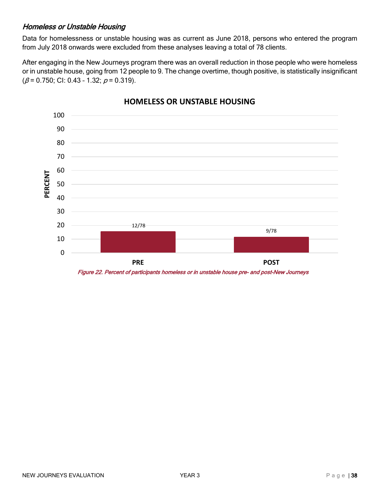#### <span id="page-37-0"></span>[Homeless or Unstable Housing](#page-2-0)

Data for homelessness or unstable housing was as current as June 2018, persons who entered the program from July 2018 onwards were excluded from these analyses leaving a total of 78 clients.

After engaging in the New Journeys program there was an overall reduction in those people who were homeless or in unstable house, going from 12 people to 9. The change overtime, though positive, is statistically insignificant  $(\beta = 0.750;$  CI: 0.43 - 1.32;  $p = 0.319$ ).



#### **HOMELESS OR UNSTABLE HOUSING**

Figure 22. Percent of participants homeless or in unstable house pre- and post-New Journeys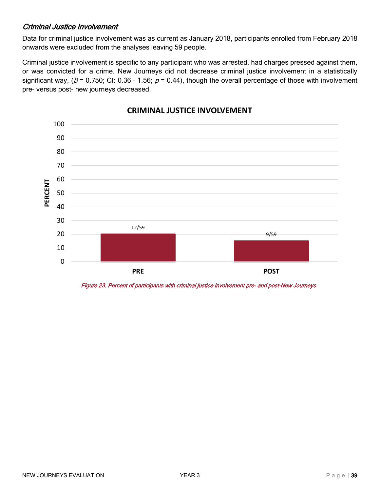#### <span id="page-38-0"></span>[Criminal Justice Involvement](#page-2-0)

Data for criminal justice involvement was as current as January 2018, participants enrolled from February 2018 onwards were excluded from the analyses leaving 59 people.

Criminal justice involvement is specific to any participant who was arrested, had charges pressed against them, or was convicted for a crime. New Journeys did not decrease criminal justice involvement in a statistically significant way, ( $\beta$  = 0.750; CI: 0.36 - 1.56;  $\rho$  = 0.44), though the overall percentage of those with involvement pre- versus post- new journeys decreased.



#### **CRIMINAL JUSTICE INVOLVEMENT**

Figure 23. Percent of participants with criminal justice involvement pre- and post-New Journeys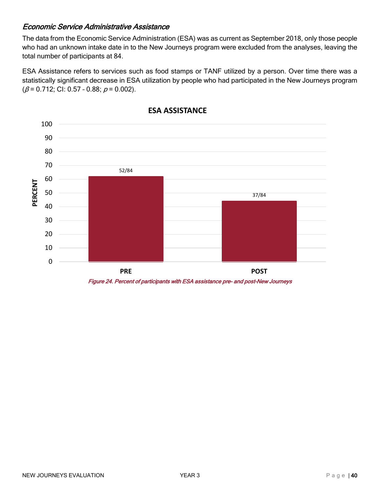#### <span id="page-39-0"></span>[Economic Service Administrative Assistance](#page-2-0)

The data from the Economic Service Administration (ESA) was as current as September 2018, only those people who had an unknown intake date in to the New Journeys program were excluded from the analyses, leaving the total number of participants at 84.

ESA Assistance refers to services such as food stamps or TANF utilized by a person. Over time there was a statistically significant decrease in ESA utilization by people who had participated in the New Journeys program  $(\beta = 0.712;$  Cl: 0.57 - 0.88;  $p = 0.002$ ).



**ESA ASSISTANCE**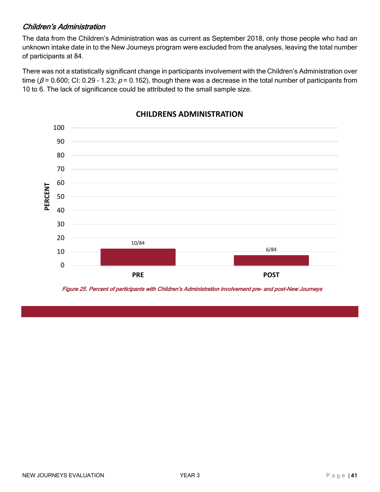#### <span id="page-40-0"></span>[Children's Administration](#page-2-0)

The data from the Children's Administration was as current as September 2018, only those people who had an unknown intake date in to the New Journeys program were excluded from the analyses, leaving the total number of participants at 84.

There was not a statistically significant change in participants involvement with the Children's Administration over time ( $\beta$  = 0.600; CI: 0.29 - 1.23;  $p$  = 0.162), though there was a decrease in the total number of participants from 10 to 6. The lack of significance could be attributed to the small sample size.



#### **CHILDRENS ADMINISTRATION**

Figure 25. Percent of participants with Children's Administration involvement pre- and post-New Journeys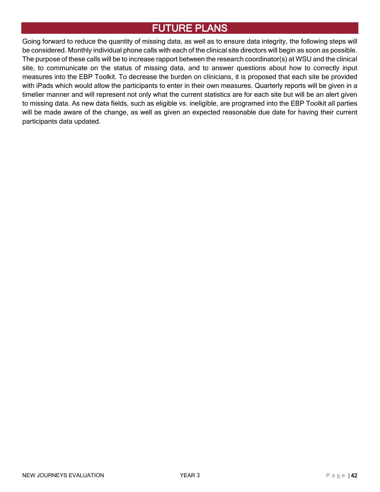## <span id="page-41-0"></span>[FUTURE](#page-2-0) PLANS

Going forward to reduce the quantity of missing data, as well as to ensure data integrity, the following steps will be considered. Monthly individual phone calls with each of the clinical site directors will begin as soon as possible. The purpose of these calls will be to increase rapport between the research coordinator(s) at WSU and the clinical site, to communicate on the status of missing data, and to answer questions about how to correctly input measures into the EBP Toolkit. To decrease the burden on clinicians, it is proposed that each site be provided with iPads which would allow the participants to enter in their own measures. Quarterly reports will be given in a timelier manner and will represent not only what the current statistics are for each site but will be an alert given to missing data. As new data fields, such as eligible vs. ineligible, are programed into the EBP Toolkit all parties will be made aware of the change, as well as given an expected reasonable due date for having their current participants data updated.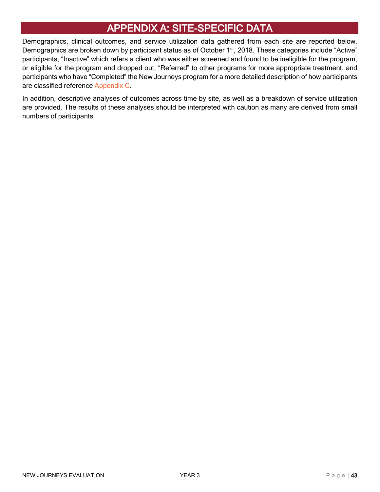## <span id="page-42-0"></span>[APPENDIX A: SITE-SPECIFIC DATA](#page-2-0)

Demographics, clinical outcomes, and service utilization data gathered from each site are reported below. Demographics are broken down by participant status as of October 1<sup>st</sup>, 2018. These categories include "Active" participants, "Inactive" which refers a client who was either screened and found to be ineligible for the program, or eligible for the program and dropped out, "Referred" to other programs for more appropriate treatment, and participants who have "Completed" the New Journeys program for a more detailed description of how participants are classified reference [Appendix C.](#page-66-0)

In addition, descriptive analyses of outcomes across time by site, as well as a breakdown of service utilization are provided. The results of these analyses should be interpreted with caution as many are derived from small numbers of participants.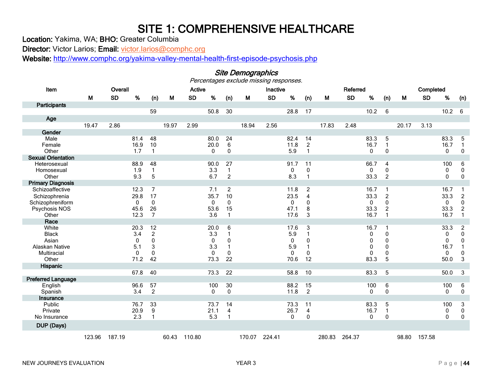## SITE 1: COMPREHENSIVE HEALTHCARE<br>Location: Yakima, WA; BHO: Greater Columbia

<span id="page-43-0"></span>Site Demographics

Director: Victor Larios; Email: [victor.larios@comphc.org](mailto:victor.larios@comphc.org)

Website: <http://www.comphc.org/yakima-valley-mental-health-first-episode-psychosis.php>

<span id="page-43-1"></span>

| Item                               |        | Overall   |             |                |       | <b>Active</b> |              |                   |        | Inactive  |          |                                |        | Referred  |              |                |       | Completed |             |                           |
|------------------------------------|--------|-----------|-------------|----------------|-------|---------------|--------------|-------------------|--------|-----------|----------|--------------------------------|--------|-----------|--------------|----------------|-------|-----------|-------------|---------------------------|
|                                    | M      | <b>SD</b> | %           | (n)            | М     | <b>SD</b>     | %            | (n)               | M      | <b>SD</b> | %        | (n)                            | М      | <b>SD</b> | %            | (n)            | M     | <b>SD</b> | $\%$        | (n)                       |
| Participants                       |        |           |             |                |       |               |              |                   |        |           |          |                                |        |           |              |                |       |           |             |                           |
|                                    |        |           |             | 59             |       |               | 50.8         | 30                |        |           | 28.8     | 17                             |        |           | 10.2         | 6              |       |           | 10.2        | 6                         |
| Age                                |        |           |             |                |       |               |              |                   |        |           |          |                                |        |           |              |                |       |           |             |                           |
|                                    | 19.47  | 2.86      |             |                | 19.97 | 2.99          |              |                   | 18.94  | 2.56      |          |                                | 17.83  | 2.48      |              |                | 20.17 | 3.13      |             |                           |
| Gender                             |        |           |             |                |       |               |              |                   |        |           |          |                                |        |           |              |                |       |           |             |                           |
| Male                               |        |           | 81.4        | 48             |       |               | 80.0         | 24                |        |           | 82.4     | 14                             |        |           | 83.3         | 5              |       |           | 83.3        | 5                         |
| Female                             |        |           | 16.9        | 10<br>1        |       |               | 20.0         | 6                 |        |           | 11.8     | $\overline{c}$<br>$\mathbf{1}$ |        |           | 16.7         | $\mathbf{1}$   |       |           | 16.7        | $\overline{1}$            |
| Other<br><b>Sexual Orientation</b> |        |           | 1.7         |                |       |               | 0            | 0                 |        |           | 5.9      |                                |        |           | $\mathbf 0$  | 0              |       |           | 0           | $\mathbf 0$               |
| Heterosexual                       |        |           | 88.9        | 48             |       |               | 90.0         | 27                |        |           | 91.7     | 11                             |        |           | 66.7         | 4              |       |           | 100         | 6                         |
| Homosexual                         |        |           | 1.9         | $\mathbf{1}$   |       |               | 3.3          | $\mathbf{1}$      |        |           | 0        | 0                              |        |           | $\mathbf 0$  | 0              |       |           | 0           | $\pmb{0}$                 |
| Other                              |        |           | 9.3         | 5              |       |               | 6.7          | $\overline{2}$    |        |           | 8.3      | $\mathbf{1}$                   |        |           | 33.3         | $\overline{2}$ |       |           | 0           | $\mathbf 0$               |
| <b>Primary Diagnosis</b>           |        |           |             |                |       |               |              |                   |        |           |          |                                |        |           |              |                |       |           |             |                           |
| Schizoaffective                    |        |           | 12.3        | $\overline{7}$ |       |               | 7.1          | $\overline{c}$    |        |           | 11.8     | $\overline{c}$                 |        |           | 16.7         | 1              |       |           | 16.7        |                           |
| Schizophrenia                      |        |           | 29.8        | 17             |       |               | 35.7         | 10                |        |           | 23.5     | 4                              |        |           | 33.3         | $\overline{c}$ |       |           | 33.3        | $\sqrt{2}$                |
| Schizophreniform                   |        |           | $\mathbf 0$ | $\mathbf{0}$   |       |               | 0            | $\mathbf{0}$      |        |           | 0        | $\mathbf{0}$                   |        |           | 0            | 0              |       |           | 0           | $\pmb{0}$                 |
| Psychosis NOS                      |        |           | 45.6        | 26             |       |               | 53.6         | 15                |        |           | 47.1     | 8                              |        |           | 33.3         | 2              |       |           | 33.3        | $\overline{c}$            |
| Other                              |        |           | 12.3        | $\overline{7}$ |       |               | 3.6          | $\mathbf{1}$      |        |           | 17.6     | 3                              |        |           | 16.7         | $\mathbf 1$    |       |           | 16.7        | $\mathbf{1}$              |
| Race                               |        |           |             |                |       |               |              |                   |        |           |          |                                |        |           |              |                |       |           |             |                           |
| White                              |        |           | 20.3        | 12             |       |               | 20.0         | 6                 |        |           | 17.6     | 3                              |        |           | 16.7         | 1              |       |           | 33.3        | $\overline{c}$            |
| <b>Black</b>                       |        |           | 3.4         | $\overline{c}$ |       |               | 3.3          | $\mathbf{1}$      |        |           | 5.9      | 1                              |        |           | 0            | 0              |       |           | 0           | $\pmb{0}$                 |
| Asian                              |        |           | $\mathbf 0$ | 0              |       |               | 0            | 0                 |        |           | 0        | 0                              |        |           | 0            | 0              |       |           | 0           | $\pmb{0}$                 |
| Alaskan Native<br>Multiracial      |        |           | 5.1<br>0    | 3<br>0         |       |               | 3.3<br>0     | $\mathbf{1}$<br>0 |        |           | 5.9<br>0 | -1<br>0                        |        |           | 0<br>0       | 0<br>0         |       |           | 16.7<br>0   | $\mathbf{1}$<br>$\pmb{0}$ |
| Other                              |        |           | 71.2        | 42             |       |               | 73.3         | 22                |        |           | 70.6     | 12                             |        |           | 83.3         | 5              |       |           | 50.0        | $\mathbf{3}$              |
| Hispanic                           |        |           |             |                |       |               |              |                   |        |           |          |                                |        |           |              |                |       |           |             |                           |
|                                    |        |           | 67.8        | 40             |       |               | 73.3         | 22                |        |           | 58.8     | 10                             |        |           | 83.3         | 5              |       |           | 50.0        | 3                         |
| <b>Preferred Language</b>          |        |           |             |                |       |               |              |                   |        |           |          |                                |        |           |              |                |       |           |             |                           |
| English                            |        |           | 96.6        | 57             |       |               | 100          | 30                |        |           | 88.2     | 15                             |        |           | 100          | 6              |       |           | 100         | 6                         |
| Spanish                            |        |           | 3.4         | $\overline{2}$ |       |               | $\mathbf{0}$ | 0                 |        |           | 11.8     | $\overline{2}$                 |        |           | $\mathbf{0}$ | $\mathbf{0}$   |       |           | 0           | $\mathbf 0$               |
| Insurance                          |        |           |             |                |       |               |              |                   |        |           |          |                                |        |           |              |                |       |           |             |                           |
| Public                             |        |           | 76.7        | 33             |       |               | 73.7         | 14                |        |           | 73.3     | 11                             |        |           | 83.3         | 5              |       |           | 100         | $\ensuremath{\mathsf{3}}$ |
| Private                            |        |           | 20.9        | 9              |       |               | 21.1         | 4                 |        |           | 26.7     | $\overline{\mathbf{4}}$        |        |           | 16.7         | 1              |       |           | 0           | $\pmb{0}$                 |
| No Insurance                       |        |           | 2.3         | 1              |       |               | 5.3          | -1                |        |           | 0        | 0                              |        |           | 0            | 0              |       |           | $\mathbf 0$ | $\pmb{0}$                 |
| DUP (Days)                         |        |           |             |                |       |               |              |                   |        |           |          |                                |        |           |              |                |       |           |             |                           |
|                                    | 123.96 | 187.19    |             |                | 60.43 | 110.80        |              |                   | 170.07 | 224.41    |          |                                | 280.83 | 264.37    |              |                | 98.80 | 157.58    |             |                           |

#### NEW JOURNEYS EVALUATION **NEW SEXUAL SEXUAL SERVICE SEXUAL SERVICE SEXUAL SERVICE SEXUAL SEXUAL PAGE | 44**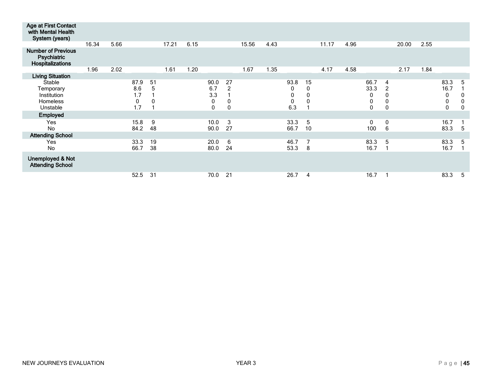| Age at First Contact<br>with Mental Health<br>System (years)      |       |      |                                |                        |       |      |                                              |                                          |       |      |                                    |                        |       |      |                                             |                                  |       |      |                             |                  |
|-------------------------------------------------------------------|-------|------|--------------------------------|------------------------|-------|------|----------------------------------------------|------------------------------------------|-------|------|------------------------------------|------------------------|-------|------|---------------------------------------------|----------------------------------|-------|------|-----------------------------|------------------|
|                                                                   | 16.34 | 5.66 |                                |                        | 17.21 | 6.15 |                                              |                                          | 15.56 | 4.43 |                                    |                        | 11.17 | 4.96 |                                             |                                  | 20.00 | 2.55 |                             |                  |
| <b>Number of Previous</b><br>Psychiatric<br>Hospitalizations      |       |      |                                |                        |       |      |                                              |                                          |       |      |                                    |                        |       |      |                                             |                                  |       |      |                             |                  |
|                                                                   | 1.96  | 2.02 |                                |                        | 1.61  | 1.20 |                                              |                                          | 1.67  | 1.35 |                                    |                        | 4.17  | 4.58 |                                             |                                  | 2.17  | 1.84 |                             |                  |
| <b>Living Situation</b>                                           |       |      |                                |                        |       |      |                                              |                                          |       |      |                                    |                        |       |      |                                             |                                  |       |      |                             |                  |
| Stable<br>Temporary<br>Institution<br><b>Homeless</b><br>Unstable |       |      | 87.9<br>8.6<br>1.7<br>0<br>1.7 | 51<br>5<br>$\mathbf 0$ |       |      | 90.0<br>6.7<br>3.3<br>$\pmb{0}$<br>$\pmb{0}$ | 27<br>$\overline{2}$<br>0<br>$\mathbf 0$ |       |      | 93.8<br>0<br>0<br>$\pmb{0}$<br>6.3 | 15<br>0<br>$\mathbf 0$ |       |      | 66.7<br>33.3<br>0<br>$\pmb{0}$<br>$\pmb{0}$ | 4<br>2<br>0<br>0<br>$\mathbf{0}$ |       |      | 83.3<br>16.7<br>0<br>0<br>0 | 5<br>C<br>0<br>0 |
| Employed                                                          |       |      |                                |                        |       |      |                                              |                                          |       |      |                                    |                        |       |      |                                             |                                  |       |      |                             |                  |
| Yes<br><b>No</b>                                                  |       |      | 15.8<br>84.2                   | 9<br>48                |       |      | 10.0<br>90.0                                 | 3<br>27                                  |       |      | 33.3<br>66.7                       | 5<br>10                |       |      | 0<br>100                                    | 0<br>6                           |       |      | 16.7<br>83.3                | 5                |
| <b>Attending School</b>                                           |       |      |                                |                        |       |      |                                              |                                          |       |      |                                    |                        |       |      |                                             |                                  |       |      |                             |                  |
| Yes<br><b>No</b>                                                  |       |      | 33.3<br>66.7                   | 19<br>38               |       |      | 20.0<br>80.0                                 | 6<br>24                                  |       |      | 46.7<br>53.3                       | $\overline{7}$<br>8    |       |      | 83.3<br>16.7                                | 5                                |       |      | 83.3<br>16.7                | 5                |
| <b>Unemployed &amp; Not</b><br><b>Attending School</b>            |       |      |                                |                        |       |      |                                              |                                          |       |      |                                    |                        |       |      |                                             |                                  |       |      |                             |                  |
|                                                                   |       |      | 52.5                           | 31                     |       |      | 70.0                                         | 21                                       |       |      | 26.7                               | $\overline{4}$         |       |      | 16.7                                        |                                  |       |      | 83.3                        | 5                |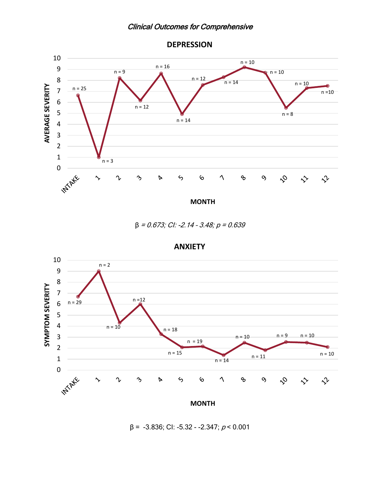#### Clinical Outcomes for Comprehensive



<span id="page-45-0"></span>

 $β = 0.673; C1: -2.14 - 3.48; p = 0.639$ 



**ANXIETY**

 $β = -3.836$ ; CI:  $-5.32 - -2.347$ ;  $p < 0.001$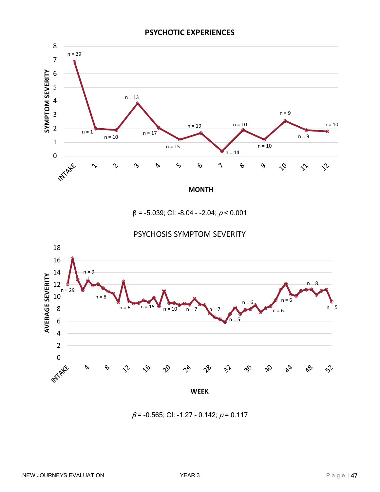

 $β = -5.039; C1: -8.04 - 2.04; p < 0.001$ 



PSYCHOSIS SYMPTOM SEVERITY

 $\beta$  = -0.565; CI: -1.27 - 0.142;  $\rho$  = 0.117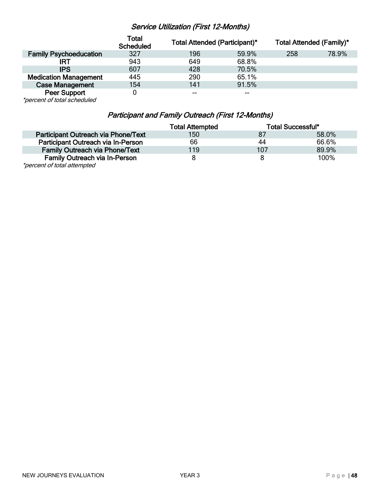## Service Utilization (First 12-Months)

<span id="page-47-0"></span>

|                               | Total<br><b>Scheduled</b> | <b>Total Attended (Participant)*</b> |       | <b>Total Attended (Family)*</b> |       |
|-------------------------------|---------------------------|--------------------------------------|-------|---------------------------------|-------|
| <b>Family Psychoeducation</b> | 327                       | 196                                  | 59.9% | 258                             | 78.9% |
| IRT                           | 943                       | 649                                  | 68.8% |                                 |       |
| <b>IPS</b>                    | 607                       | 428                                  | 70.5% |                                 |       |
| <b>Medication Management</b>  | 445                       | 290                                  | 65.1% |                                 |       |
| <b>Case Management</b>        | 154                       | 141                                  | 91.5% |                                 |       |
| <b>Peer Support</b>           |                           | $- -$                                | $- -$ |                                 |       |

\*percent of total scheduled

### Participant and Family Outreach (First 12-Months)

<span id="page-47-1"></span>

|                                       | <b>Total Attempted</b> |     | <b>Total Successful*</b> |
|---------------------------------------|------------------------|-----|--------------------------|
| Participant Outreach via Phone/Text   | 150                    |     | 58.0%                    |
| Participant Outreach via In-Person    | 66                     | 44  | 66.6%                    |
| <b>Family Outreach via Phone/Text</b> | 119                    | 107 | 89.9%                    |
| <b>Family Outreach via In-Person</b>  | 8                      |     | 100%                     |
| $*$ paroant of total attomptod        |                        |     |                          |

\*percent of total attempted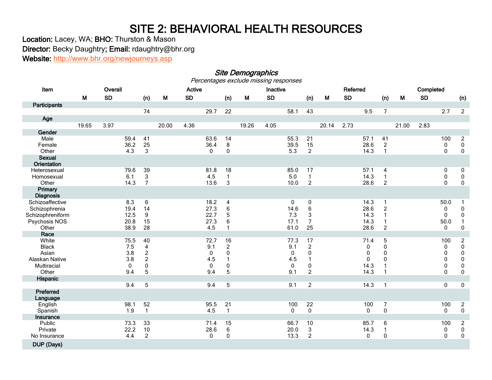## SITE 2: BEHAVIORAL HEALTH RESOURCES<br>Location: Lacey, WA; BHO: Thurston & Mason

Director: Becky Daughtry; Email: rdaughtry@bhr.org

Website:<http://www.bhr.org/newjourneys.asp>

## Site Demographics<br>Percentages exclude missing responses

<span id="page-48-0"></span>

<span id="page-48-1"></span>

| Item                |       | Overall   |             |                |       | <b>Active</b> |              |                    |       | Inactive  |              |                           |       | Referred  |              |                                |       | Completed |                  |                |
|---------------------|-------|-----------|-------------|----------------|-------|---------------|--------------|--------------------|-------|-----------|--------------|---------------------------|-------|-----------|--------------|--------------------------------|-------|-----------|------------------|----------------|
|                     | M     | <b>SD</b> |             | (n)            | M     | <b>SD</b>     |              | (n)                | M     | <b>SD</b> |              | (n)                       | М     | <b>SD</b> |              | (n)                            | M     | <b>SD</b> |                  | (n)            |
| Participants        |       |           |             |                |       |               |              |                    |       |           |              |                           |       |           |              |                                |       |           |                  |                |
|                     |       |           |             | 74             |       |               | 29.7         | 22                 |       |           | 58.1         | 43                        |       |           | 9.5          | $\overline{7}$                 |       |           | 2.7              | $\overline{2}$ |
| Age                 |       |           |             |                |       |               |              |                    |       |           |              |                           |       |           |              |                                |       |           |                  |                |
|                     | 19.65 | 3.97      |             |                | 20.00 | 4.36          |              |                    | 19.26 | 4.05      |              |                           | 20.14 | 2.73      |              |                                | 21.00 | 2.83      |                  |                |
| Gender              |       |           |             |                |       |               |              |                    |       |           |              |                           |       |           |              |                                |       |           |                  |                |
| Male                |       |           | 59.4        | 41             |       |               | 63.6         | 14                 |       |           | 55.3         | 21                        |       |           | 57.1         | 41                             |       |           | 100              | $\overline{2}$ |
| Female              |       |           | 36.2        | 25             |       |               | 36.4         | 8                  |       |           | 39.5         | 15                        |       |           | 28.6         | $\sqrt{2}$                     |       |           | 0                | $\pmb{0}$      |
| Other               |       |           | 4.3         | 3              |       |               | $\mathbf{0}$ | 0                  |       |           | 5.3          | $\overline{c}$            |       |           | 14.3         | $\mathbf{1}$                   |       |           | 0                | $\pmb{0}$      |
| <b>Sexual</b>       |       |           |             |                |       |               |              |                    |       |           |              |                           |       |           |              |                                |       |           |                  |                |
| <b>Orientation</b>  |       |           |             |                |       |               |              |                    |       |           |              |                           |       |           |              |                                |       |           |                  |                |
| Heterosexual        |       |           | 79.6<br>6.1 | 39<br>3        |       |               | 81.8<br>4.5  | 18<br>$\mathbf{1}$ |       |           | 85.0<br>5.0  | 17<br>$\mathbf{1}$        |       |           | 57.1<br>14.3 | $\overline{4}$<br>$\mathbf{1}$ |       |           | 0                | 0<br>$\pmb{0}$ |
| Homosexual<br>Other |       |           | 14.3        | $\overline{7}$ |       |               | 13.6         | 3                  |       |           | 10.0         | $\boldsymbol{2}$          |       |           | 28.6         | $\overline{c}$                 |       |           | 0<br>$\mathbf 0$ | $\pmb{0}$      |
| Primary             |       |           |             |                |       |               |              |                    |       |           |              |                           |       |           |              |                                |       |           |                  |                |
| <b>Diagnosis</b>    |       |           |             |                |       |               |              |                    |       |           |              |                           |       |           |              |                                |       |           |                  |                |
| Schizoaffective     |       |           | 8.3         | 6              |       |               | 18.2         | $\overline{4}$     |       |           | 0            | 0                         |       |           | 14.3         | -1                             |       |           | 50.0             | -1             |
| Schizophrenia       |       |           | 19.4        | 14             |       |               | 27.3         | $\,6$              |       |           | 14.6         | $\,6$                     |       |           | 28.6         | $\overline{2}$                 |       |           | 0                | $\pmb{0}$      |
| Schizophreniform    |       |           | 12.5        | 9              |       |               | 22.7         | 5                  |       |           | 7.3          | $\ensuremath{\mathsf{3}}$ |       |           | 14.3         | $\mathbf{1}$                   |       |           | $\mathbf 0$      | $\pmb{0}$      |
| Psychosis NOS       |       |           | 20.8        | 15             |       |               | 27.3         | 6                  |       |           | 17.1         | $\overline{7}$            |       |           | 14.3         | $\mathbf{1}$                   |       |           | 50.0             | $\mathbf{1}$   |
| Other               |       |           | 38.9        | 28             |       |               | 4.5          | 1                  |       |           | 61.0         | 25                        |       |           | 28.6         | $\overline{c}$                 |       |           | $\mathbf 0$      | $\pmb{0}$      |
| Race                |       |           |             |                |       |               |              |                    |       |           |              |                           |       |           |              |                                |       |           |                  |                |
| White               |       |           | 75.5        | 40             |       |               | 72.7         | 16                 |       |           | 77.3         | 17                        |       |           | 71.4         | 5                              |       |           | 100              | $\overline{c}$ |
| <b>Black</b>        |       |           | 7.5         | $\overline{4}$ |       |               | 9.1          | $\overline{c}$     |       |           | 9.1          | $\overline{2}$            |       |           | $\mathbf 0$  | $\pmb{0}$                      |       |           | $\mathbf 0$      | $\pmb{0}$      |
| Asian               |       |           | 3.8         | $\overline{c}$ |       |               | 0            | 0                  |       |           | 0            | $\pmb{0}$                 |       |           | 0            | 0                              |       |           | 0                | $\pmb{0}$      |
| Alaskan Native      |       |           | 3.8         | $\overline{c}$ |       |               | 4.5          | $\mathbf{1}$       |       |           | 4.5          | 1                         |       |           | $\mathbf{0}$ | $\Omega$                       |       |           | $\mathbf{0}$     | $\pmb{0}$      |
| Multiracial         |       |           | 0           | 0              |       |               | 0            | 0                  |       |           | $\mathbf 0$  | 0                         |       |           | 14.3         |                                |       |           | 0                | $\pmb{0}$      |
| Other               |       |           | 9.4         | 5              |       |               | 9.4          | 5                  |       |           | 9.1          | $\overline{2}$            |       |           | 14.3         |                                |       |           | $\mathbf{0}$     | $\mathbf 0$    |
| Hispanic            |       |           |             |                |       |               |              |                    |       |           |              |                           |       |           |              |                                |       |           |                  |                |
|                     |       |           | 9.4         | 5              |       |               | 9.4          | $\overline{5}$     |       |           | 9.1          | $\overline{2}$            |       |           | 14.3         | $\overline{1}$                 |       |           | 0                | $\pmb{0}$      |
| Preferred           |       |           |             |                |       |               |              |                    |       |           |              |                           |       |           |              |                                |       |           |                  |                |
| Language<br>English |       |           | 98.1        | 52             |       |               | 95.5         | 21                 |       |           | 100          | 22                        |       |           | 100          | $\overline{7}$                 |       |           | 100              | $\overline{c}$ |
| Spanish             |       |           | 1.9         | $\mathbf{1}$   |       |               | 4.5          | $\mathbf{1}$       |       |           | $\mathbf{0}$ | $\mathbf 0$               |       |           | $\mathbf{0}$ | $\mathbf 0$                    |       |           | $\mathbf{0}$     | $\pmb{0}$      |
| Insurance           |       |           |             |                |       |               |              |                    |       |           |              |                           |       |           |              |                                |       |           |                  |                |
| Public              |       |           | 73.3        | 33             |       |               | 71.4         | 15                 |       |           | 66.7         | 10                        |       |           | 85.7         | 6                              |       |           | 100              | $\overline{c}$ |
| Private             |       |           | 22.2        | 10             |       |               | 28.6         | $\,6$              |       |           | 20.0         | 3                         |       |           | 14.3         | -1                             |       |           | 0                | ${\bf 0}$      |
| No Insurance        |       |           | 4.4         | $\overline{c}$ |       |               | $\mathbf{0}$ | $\pmb{0}$          |       |           | 13.3         | $\overline{c}$            |       |           | $\mathbf 0$  | $\mathbf 0$                    |       |           | $\mathbf 0$      | $\mathbf 0$    |
| DUP (Days)          |       |           |             |                |       |               |              |                    |       |           |              |                           |       |           |              |                                |       |           |                  |                |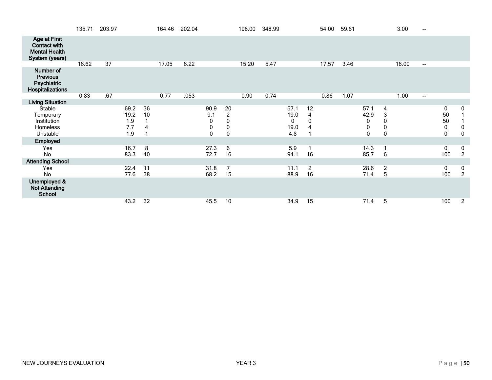|                                                                                      | 135.71 | 203.97 |                                   |               | 164.46 | 202.04 |                            |                                                     | 198.00 | 348.99 |                                  |                      | 54.00 | 59.61 |                                  |                                         | 3.00  | $\overline{\phantom{a}}$               |                                   |                               |
|--------------------------------------------------------------------------------------|--------|--------|-----------------------------------|---------------|--------|--------|----------------------------|-----------------------------------------------------|--------|--------|----------------------------------|----------------------|-------|-------|----------------------------------|-----------------------------------------|-------|----------------------------------------|-----------------------------------|-------------------------------|
| <b>Age at First</b><br><b>Contact with</b><br><b>Mental Health</b><br>System (years) |        |        |                                   |               |        |        |                            |                                                     |        |        |                                  |                      |       |       |                                  |                                         |       |                                        |                                   |                               |
|                                                                                      | 16.62  | 37     |                                   |               | 17.05  | 6.22   |                            |                                                     | 15.20  | 5.47   |                                  |                      | 17.57 | 3.46  |                                  |                                         | 16.00 | $\hspace{0.05cm} \rule{0.5cm}{0.15cm}$ |                                   |                               |
| Number of<br><b>Previous</b><br>Psychiatric<br>Hospitalizations                      |        |        |                                   |               |        |        |                            |                                                     |        |        |                                  |                      |       |       |                                  |                                         |       |                                        |                                   |                               |
|                                                                                      | 0.83   | .67    |                                   |               | 0.77   | .053   |                            |                                                     | 0.90   | 0.74   |                                  |                      | 0.86  | 1.07  |                                  |                                         | 1.00  | $\hspace{0.05cm} \rule{0.5cm}{0.15cm}$ |                                   |                               |
| <b>Living Situation</b>                                                              |        |        |                                   |               |        |        |                            |                                                     |        |        |                                  |                      |       |       |                                  |                                         |       |                                        |                                   |                               |
| Stable<br>Temporary<br>Institution<br>Homeless<br>Unstable                           |        |        | 69.2<br>19.2<br>1.9<br>7.7<br>1.9 | 36<br>10<br>4 |        |        | 90.9<br>9.1<br>0<br>0<br>0 | 20<br>$\overline{2}$<br>0<br>$\pmb{0}$<br>$\pmb{0}$ |        |        | 57.1<br>19.0<br>0<br>19.0<br>4.8 | 12<br>4<br>0<br>4    |       |       | 57.1<br>42.9<br>0<br>$\mathbf 0$ | 4<br>3<br>0<br>$\pmb{0}$<br>$\mathbf 0$ |       |                                        | 0<br>50<br>50<br>0<br>$\mathbf 0$ | 0<br>$\pmb{0}$<br>$\mathbf 0$ |
| Employed                                                                             |        |        |                                   |               |        |        |                            |                                                     |        |        |                                  |                      |       |       |                                  |                                         |       |                                        |                                   |                               |
| <b>Yes</b><br><b>No</b>                                                              |        |        | 16.7<br>83.3                      | 8<br>40       |        |        | 27.3<br>72.7               | 6<br>16                                             |        |        | 5.9<br>94.1                      | 1<br>16              |       |       | 14.3<br>85.7                     | 6                                       |       |                                        | 0<br>100                          | 0<br>$\overline{2}$           |
| <b>Attending School</b>                                                              |        |        |                                   |               |        |        |                            |                                                     |        |        |                                  |                      |       |       |                                  |                                         |       |                                        |                                   |                               |
| Yes<br>No                                                                            |        |        | 22.4<br>77.6                      | 11<br>38      |        |        | 31.8<br>68.2               | $\overline{7}$<br>15                                |        |        | 11.1<br>88.9                     | $\overline{c}$<br>16 |       |       | 28.6<br>71.4                     | $\overline{2}$<br>5                     |       |                                        | $\mathbf 0$<br>100                | $\mathbf 0$<br>$\overline{2}$ |
| Unemployed &<br><b>Not Attending</b><br><b>School</b>                                |        |        |                                   |               |        |        |                            |                                                     |        |        |                                  |                      |       |       |                                  |                                         |       |                                        |                                   |                               |
|                                                                                      |        |        | 43.2                              | 32            |        |        | 45.5                       | 10                                                  |        |        | 34.9                             | 15                   |       |       | 71.4                             | 5                                       |       |                                        | 100                               | 2                             |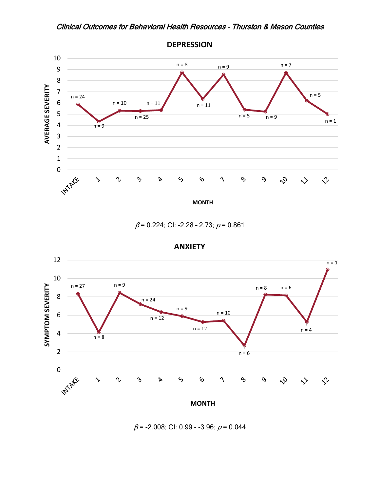<span id="page-50-0"></span>

 $\beta$  = 0.224; CI: -2.28 - 2.73;  $\rho$  = 0.861



**ANXIETY**

 $\beta$  = -2.008; CI: 0.99 - -3.96;  $\rho$  = 0.044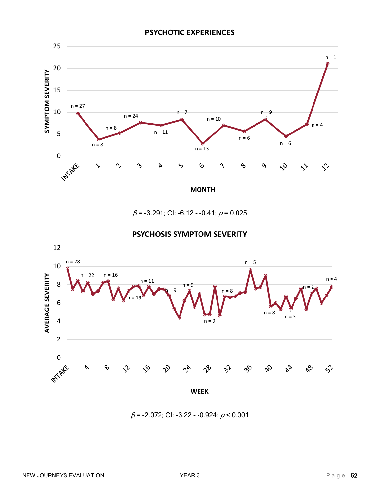

 $\beta$  = -3.291; CI: -6.12 - -0.41;  $\rho$  = 0.025



#### **PSYCHOSIS SYMPTOM SEVERITY**

 $\beta$  = -2.072; CI: -3.22 - -0.924;  $\rho$  < 0.001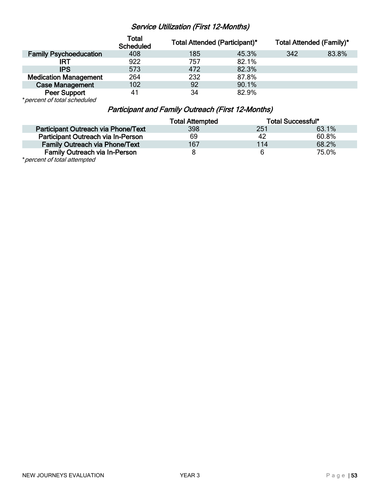#### Service Utilization (First 12-Months)

<span id="page-52-0"></span>

|                               | <b>Total</b><br><b>Scheduled</b> | <b>Total Attended (Participant)*</b> |       | <b>Total Attended (Family)*</b> |       |
|-------------------------------|----------------------------------|--------------------------------------|-------|---------------------------------|-------|
| <b>Family Psychoeducation</b> | 408                              | 185                                  | 45.3% | 342                             | 83.8% |
| IRT                           | 922                              | 757                                  | 82.1% |                                 |       |
| <b>IPS</b>                    | 573                              | 472                                  | 82.3% |                                 |       |
| <b>Medication Management</b>  | 264                              | 232                                  | 87.8% |                                 |       |
| <b>Case Management</b>        | 102                              | 92                                   | 90.1% |                                 |       |
| <b>Peer Support</b>           | 4 <sup>1</sup>                   | 34                                   | 82.9% |                                 |       |

<span id="page-52-1"></span>\*percent of total scheduled

#### Participant and Family Outreach (First 12-Months)

|                                       | <b>Total Attempted</b> |     | Total Successful* |
|---------------------------------------|------------------------|-----|-------------------|
| Participant Outreach via Phone/Text   | 398                    | 251 | 63.1%             |
| Participant Outreach via In-Person    | 69                     | 42  | 60.8%             |
| <b>Family Outreach via Phone/Text</b> | 167                    | 114 | 68.2%             |
| <b>Family Outreach via In-Person</b>  |                        | 6   | 75.0%             |
| $*$ paranter of tatal attampted       |                        |     |                   |

\*percent of total attempted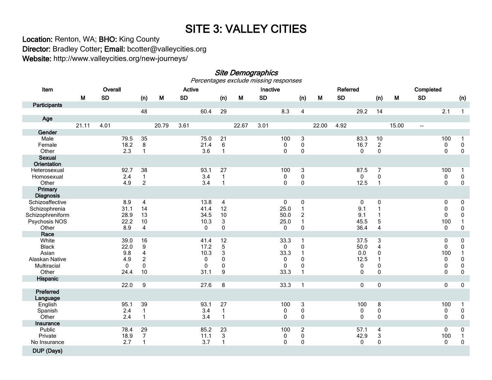# SITE 3: VALLEY CITIES<br>Location: Renton, WA; BHO: King County

Director: Bradley Cotter; Email: bcotter@valleycities.org Website: http://www.valleycities.org/new-journeys/

<span id="page-53-0"></span>Site Demographics<br>Percentages exclude missing responses

<span id="page-53-1"></span>

| Item                        | Overall |           |             |                         | Active |           |             |                           | Inactive |           |              |                | Referred |           |                      |                           | Completed |                          |              |                        |
|-----------------------------|---------|-----------|-------------|-------------------------|--------|-----------|-------------|---------------------------|----------|-----------|--------------|----------------|----------|-----------|----------------------|---------------------------|-----------|--------------------------|--------------|------------------------|
|                             | M       | <b>SD</b> |             | (n)                     | M      | <b>SD</b> |             | (n)                       | M        | <b>SD</b> |              | (n)            | M        | <b>SD</b> |                      | (n)                       | M         | <b>SD</b>                |              | (n)                    |
| Participants                |         |           |             |                         |        |           |             |                           |          |           |              |                |          |           |                      |                           |           |                          |              |                        |
|                             |         |           |             | 48                      |        |           | 60.4        | 29                        |          |           | 8.3          | $\overline{4}$ |          |           | 29.2                 | 14                        |           |                          | 2.1          | $\mathbf{1}$           |
| Age                         |         |           |             |                         |        |           |             |                           |          |           |              |                |          |           |                      |                           |           |                          |              |                        |
|                             | 21.11   | 4.01      |             |                         | 20.79  | 3.61      |             |                           | 22.67    | 3.01      |              |                | 22.00    | 4.92      |                      |                           | 15.00     | $\overline{\phantom{a}}$ |              |                        |
| Gender                      |         |           |             |                         |        |           |             |                           |          |           |              |                |          |           |                      |                           |           |                          |              |                        |
| Male                        |         |           | 79.5        | 35                      |        |           | 75.0        | 21                        |          |           | 100          | 3              |          |           | 83.3                 | 10                        |           |                          | 100          | $\mathbf{1}$           |
| Female<br>Other             |         |           | 18.2<br>2.3 | 8<br>$\mathbf{1}$       |        |           | 21.4<br>3.6 | 6<br>1                    |          |           | 0<br>0       | 0<br>0         |          |           | 16.7<br>$\mathbf{0}$ | $\overline{a}$<br>0       |           |                          | 0<br>0       | $\pmb{0}$<br>$\pmb{0}$ |
| <b>Sexual</b>               |         |           |             |                         |        |           |             |                           |          |           |              |                |          |           |                      |                           |           |                          |              |                        |
| Orientation                 |         |           |             |                         |        |           |             |                           |          |           |              |                |          |           |                      |                           |           |                          |              |                        |
| Heterosexual                |         |           | 92.7        | 38                      |        |           | 93.1        | 27                        |          |           | 100          | 3              |          |           | 87.5                 | $\overline{7}$            |           |                          | 100          | $\mathbf{1}$           |
| Homosexual                  |         |           | 2.4         | $\mathbf{1}$            |        |           | 3.4         | 1                         |          |           | 0            | $\pmb{0}$      |          |           | 0                    | $\pmb{0}$                 |           |                          | 0            | $\pmb{0}$              |
| Other                       |         |           | 4.9         | $\overline{c}$          |        |           | 3.4         | $\mathbf{1}$              |          |           | $\mathbf{0}$ | $\mathbf{0}$   |          |           | 12.5                 | $\overline{1}$            |           |                          | $\mathbf{0}$ | $\mathbf 0$            |
| Primary<br><b>Diagnosis</b> |         |           |             |                         |        |           |             |                           |          |           |              |                |          |           |                      |                           |           |                          |              |                        |
| Schizoaffective             |         |           | 8.9         | $\overline{4}$          |        |           | 13.8        | $\overline{4}$            |          |           | $\mathbf 0$  | 0              |          |           | 0                    | $\pmb{0}$                 |           |                          | 0            | $\pmb{0}$              |
| Schizophrenia               |         |           | 31.1        | 14                      |        |           | 41.4        | 12                        |          |           | 25.0         |                |          |           | 9.1                  |                           |           |                          | 0            | $\pmb{0}$              |
| Schizophreniform            |         |           | 28.9        | 13                      |        |           | 34.5        | 10                        |          |           | 50.0         | 2              |          |           | 9.1                  |                           |           |                          | $\mathbf{0}$ | $\pmb{0}$              |
| Psychosis NOS               |         |           | 22.2<br>8.9 | 10                      |        |           | 10.3        | 3                         |          |           | 25.0         |                |          |           | 45.5<br>36.4         | 5                         |           |                          | 100          | $\mathbf{1}$           |
| Other<br>Race               |         |           |             | $\overline{\mathbf{4}}$ |        |           | $\mathbf 0$ | 0                         |          |           | $\mathbf{0}$ | 0              |          |           |                      | 4                         |           |                          | 0            | $\pmb{0}$              |
| White                       |         |           | 39.0        | 16                      |        |           | 41.4        | 12                        |          |           | 33.3         |                |          |           | 37.5                 | 3                         |           |                          | 0            | 0                      |
| <b>Black</b>                |         |           | 22.0        | 9                       |        |           | 17.2        | $\mathbf 5$               |          |           | $\mathbf 0$  | 0              |          |           | 50.0                 | 4                         |           |                          | 0            | $\pmb{0}$              |
| Asian                       |         |           | 9.8         | $\overline{\mathbf{4}}$ |        |           | 10.3        | 3                         |          |           | 33.3         |                |          |           | 0.0                  | $\pmb{0}$                 |           |                          | 100          | $\mathbf{1}$           |
| Alaskan Native              |         |           | 4.9         | $\overline{c}$          |        |           | $\pmb{0}$   | 0                         |          |           | 0            | $\Omega$       |          |           | 12.5                 | 1                         |           |                          | $\pmb{0}$    | $\pmb{0}$              |
| Multiracial                 |         |           | 0           | 0                       |        |           | $\pmb{0}$   | 0                         |          |           | $\mathbf 0$  | $\Omega$       |          |           | 0                    | 0                         |           |                          | 0            | $\pmb{0}$              |
| Other                       |         |           | 24.4        | 10                      |        |           | 31.1        | 9                         |          |           | 33.3         |                |          |           | 0                    | $\pmb{0}$                 |           |                          | $\mathbf 0$  | $\pmb{0}$              |
| Hispanic                    |         |           |             |                         |        |           |             |                           |          |           |              |                |          |           |                      |                           |           |                          |              |                        |
|                             |         |           | 22.0        | $\overline{9}$          |        |           | 27.6        | $\bf 8$                   |          |           | 33.3         | 1              |          |           | 0                    | $\pmb{0}$                 |           |                          | 0            | $\pmb{0}$              |
| Preferred<br>Language       |         |           |             |                         |        |           |             |                           |          |           |              |                |          |           |                      |                           |           |                          |              |                        |
| English                     |         |           | 95.1        | 39                      |        |           | 93.1        | 27                        |          |           | 100          | $\overline{3}$ |          |           | 100                  | $\bf 8$                   |           |                          | 100          | $\mathbf{1}$           |
| Spanish                     |         |           | 2.4         | $\mathbf{1}$            |        |           | 3.4         | $\mathbf{1}$              |          |           | 0            | $\pmb{0}$      |          |           | 0                    | $\pmb{0}$                 |           |                          | 0            | $\pmb{0}$              |
| Other                       |         |           | 2.4         | $\mathbf{1}$            |        |           | 3.4         | 1                         |          |           | 0            | 0              |          |           | $\mathbf{0}$         | $\pmb{0}$                 |           |                          | 0            | $\pmb{0}$              |
| Insurance<br>Public         |         |           | 78.4        | 29                      |        |           | 85.2        | 23                        |          |           | 100          | $\overline{2}$ |          |           | 57.1                 | 4                         |           |                          | 0            | 0                      |
| Private                     |         |           | 18.9        | $\overline{7}$          |        |           | 11.1        | $\ensuremath{\mathsf{3}}$ |          |           | 0            | $\pmb{0}$      |          |           | 42.9                 | $\ensuremath{\mathsf{3}}$ |           |                          | 100          | $\mathbf{1}$           |
| No Insurance                |         |           | 2.7         | $\mathbf{1}$            |        |           | 3.7         | 1                         |          |           | 0            | 0              |          |           | 0                    | $\pmb{0}$                 |           |                          | $\pmb{0}$    | $\pmb{0}$              |
| DUP (Days)                  |         |           |             |                         |        |           |             |                           |          |           |              |                |          |           |                      |                           |           |                          |              |                        |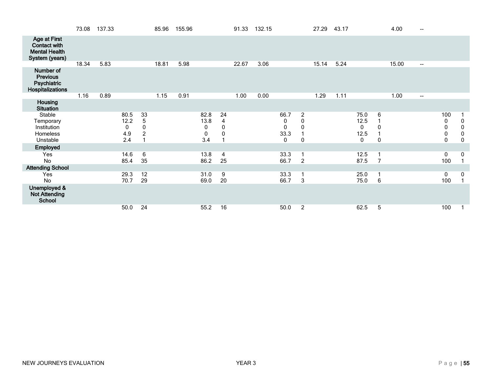|                                                                                      | 73.08 | 137.33 |                                 |                                           | 85.96 | 155.96 |                                       |                             | 91.33 | 132.15 |                             |                                                | 27.29 | 43.17 |                                          |                               | 4.00  | $-$                      |                         |                                                    |
|--------------------------------------------------------------------------------------|-------|--------|---------------------------------|-------------------------------------------|-------|--------|---------------------------------------|-----------------------------|-------|--------|-----------------------------|------------------------------------------------|-------|-------|------------------------------------------|-------------------------------|-------|--------------------------|-------------------------|----------------------------------------------------|
| <b>Age at First</b><br><b>Contact with</b><br><b>Mental Health</b><br>System (years) |       |        |                                 |                                           |       |        |                                       |                             |       |        |                             |                                                |       |       |                                          |                               |       |                          |                         |                                                    |
|                                                                                      | 18.34 | 5.83   |                                 |                                           | 18.81 | 5.98   |                                       |                             | 22.67 | 3.06   |                             |                                                | 15.14 | 5.24  |                                          |                               | 15.00 | $\overline{\phantom{a}}$ |                         |                                                    |
| Number of<br><b>Previous</b><br><b>Psychiatric</b><br>Hospitalizations               |       |        |                                 |                                           |       |        |                                       |                             |       |        |                             |                                                |       |       |                                          |                               |       |                          |                         |                                                    |
|                                                                                      | 1.16  | 0.89   |                                 |                                           | 1.15  | 0.91   |                                       |                             | 1.00  | 0.00   |                             |                                                | 1.29  | 1.11  |                                          |                               | 1.00  | $\overline{\phantom{a}}$ |                         |                                                    |
| Housing<br><b>Situation</b>                                                          |       |        |                                 |                                           |       |        |                                       |                             |       |        |                             |                                                |       |       |                                          |                               |       |                          |                         |                                                    |
| Stable<br>Temporary<br>Institution<br>Homeless<br>Unstable                           |       |        | 80.5<br>12.2<br>0<br>4.9<br>2.4 | 33<br>5<br>$\mathbf{0}$<br>$\overline{c}$ |       |        | 82.8<br>13.8<br>0<br>$\pmb{0}$<br>3.4 | 24<br>4<br>0<br>$\mathbf 0$ |       |        | 66.7<br>0<br>0<br>33.3<br>0 | $\overline{c}$<br>$\mathbf 0$<br>$\Omega$<br>0 |       |       | 75.0<br>12.5<br>$\mathbf 0$<br>12.5<br>0 | 6<br>0<br>$\mathbf 0$         |       |                          | 100<br>0<br>0<br>0<br>0 | $\mathbf 0$<br>$\pmb{0}$<br>$\pmb{0}$<br>$\pmb{0}$ |
| Employed                                                                             |       |        |                                 |                                           |       |        |                                       |                             |       |        |                             |                                                |       |       |                                          |                               |       |                          |                         |                                                    |
| Yes<br>No                                                                            |       |        | 14.6<br>85.4                    | 6<br>35                                   |       |        | 13.8<br>86.2                          | 4<br>25                     |       |        | 33.3<br>66.7                | $\overline{2}$                                 |       |       | 12.5<br>87.5                             | $\mathbf 1$<br>$\overline{7}$ |       |                          | 0<br>100                | 0<br>1                                             |
| <b>Attending School</b>                                                              |       |        |                                 |                                           |       |        |                                       |                             |       |        |                             |                                                |       |       |                                          |                               |       |                          |                         |                                                    |
| Yes<br>No                                                                            |       |        | 29.3<br>70.7                    | 12<br>29                                  |       |        | 31.0<br>69.0                          | 9<br>20                     |       |        | 33.3<br>66.7                | 3                                              |       |       | 25.0<br>75.0                             | $\mathbf 1$<br>6              |       |                          | 0<br>100                | 0<br>$\overline{1}$                                |
| Unemployed &<br><b>Not Attending</b><br><b>School</b>                                |       |        |                                 |                                           |       |        |                                       |                             |       |        |                             |                                                |       |       |                                          |                               |       |                          |                         |                                                    |
|                                                                                      |       |        | 50.0                            | 24                                        |       |        | 55.2                                  | 16                          |       |        | 50.0                        | $\overline{2}$                                 |       |       | 62.5                                     | 5                             |       |                          | 100                     |                                                    |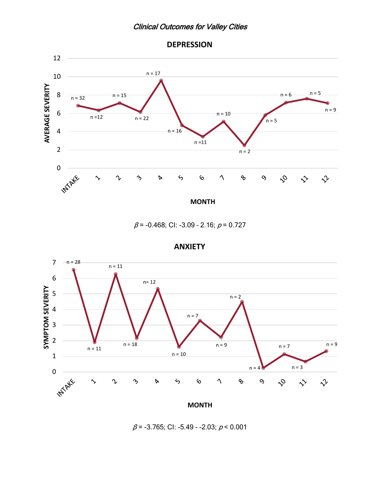



<span id="page-55-0"></span>

 $\beta$  = -0.468; CI: -3.09 - 2.16;  $\rho$  = 0.727

**ANXIETY**



 $\beta$  = -3.765; CI: -5.49 - -2.03;  $\rho$  < 0.001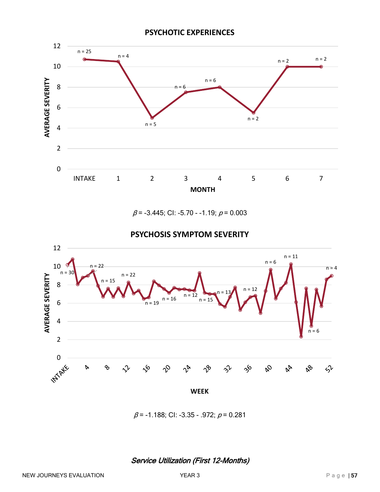#### **PSYCHOTIC EXPERIENCES**



 $\beta$  = -3.445; CI: -5.70 - -1.19;  $\rho$  = 0.003



**PSYCHOSIS SYMPTOM SEVERITY**

 $\beta$  = -1.188; CI: -3.35 - .972;  $\rho$  = 0.281

<span id="page-56-0"></span>Service Utilization (First 12-Months)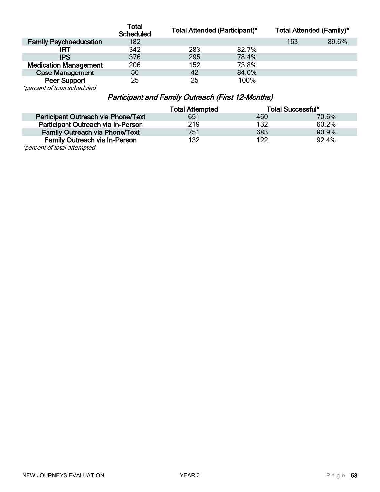|                                 | <b>Total</b><br><b>Scheduled</b> | <b>Total Attended (Participant)*</b> |       | <b>Total Attended (Family)*</b> |       |
|---------------------------------|----------------------------------|--------------------------------------|-------|---------------------------------|-------|
| <b>Family Psychoeducation</b>   | 182                              |                                      |       | 163                             | 89.6% |
|                                 | 342                              | 283                                  | 82.7% |                                 |       |
| <b>IPS</b>                      | 376                              | 295                                  | 78.4% |                                 |       |
| <b>Medication Management</b>    | 206                              | 152                                  | 73.8% |                                 |       |
| <b>Case Management</b>          | 50                               | 42                                   | 84.0% |                                 |       |
| Peer Support                    | 25                               | 25                                   | 100%  |                                 |       |
| $*$ paraapta $*$ tatalaabadulad |                                  |                                      |       |                                 |       |

<span id="page-57-0"></span>\*percent of total scheduled

## Participant and Family Outreach (First 12-Months)

|                                       | <b>Total Attempted</b> |     | <b>Total Successful*</b> |
|---------------------------------------|------------------------|-----|--------------------------|
| Participant Outreach via Phone/Text   | 651                    | 460 | 70.6%                    |
| Participant Outreach via In-Person    | 219                    | 132 | 60.2%                    |
| <b>Family Outreach via Phone/Text</b> | 751                    | 683 | 90.9%                    |
| <b>Family Outreach via In-Person</b>  | 132                    | 122 | 92.4%                    |
| ************************              |                        |     |                          |

\*percent of total attempted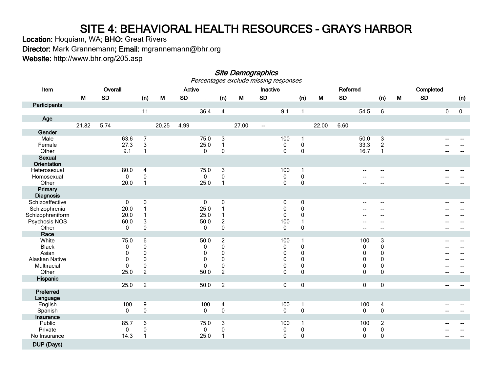## SITE 4: BEHAVIORAL HEALTH RESOURCES - GRAYS HARBOR<br>Location: Hoquiam, WA; BHO: Great Rivers

Director: Mark Grannemann; Email: mgrannemann@bhr.org Website: http://www.bhr.org/205.asp

## Site Demographics<br>Percentages exclude missing responses

<span id="page-58-1"></span><span id="page-58-0"></span>

| Item                                |       | Overall   |              |                           |       | Active    |              |                         |       | Inactive                 |              |                             |       | Referred  |                          |                                       |   | Completed |   |     |
|-------------------------------------|-------|-----------|--------------|---------------------------|-------|-----------|--------------|-------------------------|-------|--------------------------|--------------|-----------------------------|-------|-----------|--------------------------|---------------------------------------|---|-----------|---|-----|
|                                     | M     | <b>SD</b> |              | (n)                       | M     | <b>SD</b> |              | (n)                     | M     | <b>SD</b>                |              | (n)                         | M     | <b>SD</b> |                          | (n)                                   | M | <b>SD</b> |   | (n) |
| Participants                        |       |           |              |                           |       |           |              |                         |       |                          |              |                             |       |           |                          |                                       |   |           |   |     |
|                                     |       |           |              | 11                        |       |           | 36.4         | $\overline{4}$          |       |                          | 9.1          | $\mathbf{1}$                |       |           | 54.5                     | $6\phantom{1}$                        |   |           | 0 | 0   |
| Age                                 |       |           |              |                           |       |           |              |                         |       |                          |              |                             |       |           |                          |                                       |   |           |   |     |
|                                     | 21.82 | 5.74      |              |                           | 20.25 | 4.99      |              |                         | 27.00 | $\overline{\phantom{a}}$ |              |                             | 22.00 | 6.60      |                          |                                       |   |           |   |     |
| Gender                              |       |           |              |                           |       |           |              |                         |       |                          |              |                             |       |           |                          |                                       |   |           |   |     |
| Male                                |       |           | 63.6         | $\overline{7}$            |       |           | 75.0         | $\overline{3}$          |       |                          | 100          | $\mathbf{1}$                |       |           | 50.0                     | $\sqrt{3}$                            |   |           |   |     |
| Female                              |       |           | 27.3         | $\ensuremath{\mathsf{3}}$ |       |           | 25.0         | $\mathbf{1}$            |       |                          | 0            | $\pmb{0}$                   |       |           | 33.3                     | $\overline{c}$                        |   |           |   |     |
| Other                               |       |           | 9.1          | $\mathbf{1}$              |       |           | 0            | 0                       |       |                          | 0            | $\mathbf 0$                 |       |           | 16.7                     | $\mathbf{1}$                          |   |           |   |     |
| <b>Sexual</b><br><b>Orientation</b> |       |           |              |                           |       |           |              |                         |       |                          |              |                             |       |           |                          |                                       |   |           |   |     |
| Heterosexual                        |       |           | 80.0         | $\overline{4}$            |       |           | 75.0         | $\overline{3}$          |       |                          | 100          | $\mathbf{1}$                |       |           | $-$                      | $\overline{\phantom{a}}$              |   |           |   |     |
| Homosexual                          |       |           | $\mathbf{0}$ | $\pmb{0}$                 |       |           | $\mathbf{0}$ | 0                       |       |                          | 0            | $\pmb{0}$                   |       |           |                          | $\overline{\phantom{a}}$              |   |           |   |     |
| Other                               |       |           | 20.0         | $\mathbf{1}$              |       |           | 25.0         | $\mathbf{1}$            |       |                          | 0            | 0                           |       |           |                          | $\overline{\phantom{a}}$              |   |           |   |     |
| Primary<br><b>Diagnosis</b>         |       |           |              |                           |       |           |              |                         |       |                          |              |                             |       |           |                          |                                       |   |           |   |     |
| Schizoaffective                     |       |           | $\mathbf 0$  | $\pmb{0}$                 |       |           | $\mathbf 0$  | $\pmb{0}$               |       |                          | 0            | $\pmb{0}$                   |       |           |                          | $\hspace{0.05cm}$ – $\hspace{0.05cm}$ |   |           |   |     |
| Schizophrenia                       |       |           | 20.0         |                           |       |           | 25.0         | 1                       |       |                          | 0            | $\pmb{0}$                   |       |           |                          | --                                    |   |           |   |     |
| Schizophreniform                    |       |           | 20.0         |                           |       |           | 25.0         | 1                       |       |                          | 0            | 0                           |       |           |                          |                                       |   |           |   |     |
| Psychosis NOS                       |       |           | 60.0         | 3                         |       |           | 50.0         | $\overline{\mathbf{c}}$ |       |                          | 100          | 1                           |       |           |                          |                                       |   |           |   |     |
| Other                               |       |           | $\mathbf{0}$ | 0                         |       |           | $\mathbf{0}$ | 0                       |       |                          | $\mathbf{0}$ | 0                           |       |           | $\overline{\phantom{a}}$ | $\overline{\phantom{a}}$              |   |           |   | --  |
| Race                                |       |           |              |                           |       |           |              |                         |       |                          |              |                             |       |           |                          |                                       |   |           |   |     |
| White                               |       |           | 75.0         | 6                         |       |           | 50.0         | $\boldsymbol{2}$        |       |                          | 100          | 1                           |       |           | 100                      | $\ensuremath{\mathsf{3}}$             |   |           |   |     |
| <b>Black</b>                        |       |           | 0            | 0                         |       |           | 0            | 0                       |       |                          | 0            | $\pmb{0}$                   |       |           | 0                        | $\pmb{0}$                             |   |           |   |     |
| Asian                               |       |           | 0            | $\pmb{0}$                 |       |           | 0            | 0                       |       |                          | 0            | $\mathbf 0$                 |       |           | 0                        | $\pmb{0}$                             |   |           |   |     |
| Alaskan Native                      |       |           | $\mathbf{0}$ | $\mathbf{0}$              |       |           | 0            | $\Omega$                |       |                          | $\mathbf{0}$ | $\Omega$                    |       |           | $\Omega$                 | $\pmb{0}$                             |   |           |   |     |
| Multiracial<br>Other                |       |           | $\mathbf{0}$ | $\pmb{0}$                 |       |           | 0            | 0                       |       |                          | 0            | $\mathbf 0$<br>$\mathbf{0}$ |       |           | 0<br>$\mathbf{0}$        | $\pmb{0}$<br>$\mathbf 0$              |   |           |   |     |
| Hispanic                            |       |           | 25.0         | $\overline{c}$            |       |           | 50.0         | $\overline{c}$          |       |                          | 0            |                             |       |           |                          |                                       |   |           |   |     |
|                                     |       |           | 25.0         | $\overline{2}$            |       |           | 50.0         | $\overline{2}$          |       |                          | 0            | $\overline{0}$              |       |           | $\pmb{0}$                | $\overline{\text{o}}$                 |   |           |   |     |
| Preferred<br>Language               |       |           |              |                           |       |           |              |                         |       |                          |              |                             |       |           |                          |                                       |   |           |   |     |
| English                             |       |           | 100          | $9\,$                     |       |           | 100          | $\overline{4}$          |       |                          | 100          | 1                           |       |           | 100                      | $\overline{4}$                        |   |           |   |     |
| Spanish                             |       |           | 0            | $\pmb{0}$                 |       |           | $\mathbf 0$  | $\pmb{0}$               |       |                          | 0            | $\pmb{0}$                   |       |           | 0                        | $\pmb{0}$                             |   |           |   |     |
| Insurance                           |       |           |              |                           |       |           |              |                         |       |                          |              |                             |       |           |                          |                                       |   |           |   |     |
| Public                              |       |           | 85.7         | 6                         |       |           | 75.0         | 3                       |       |                          | 100          | $\mathbf{1}$                |       |           | 100                      | $\overline{c}$                        |   |           |   |     |
| Private                             |       |           | 0            | $\pmb{0}$                 |       |           | 0            | 0                       |       |                          | 0            | $\pmb{0}$                   |       |           | 0                        | $\pmb{0}$                             |   |           |   |     |
| No Insurance                        |       |           | 14.3         | $\mathbf{1}$              |       |           | 25.0         | $\mathbf{1}$            |       |                          | $\mathbf{0}$ | $\mathbf 0$                 |       |           | 0                        | $\pmb{0}$                             |   |           |   |     |
| DUP (Days)                          |       |           |              |                           |       |           |              |                         |       |                          |              |                             |       |           |                          |                                       |   |           |   |     |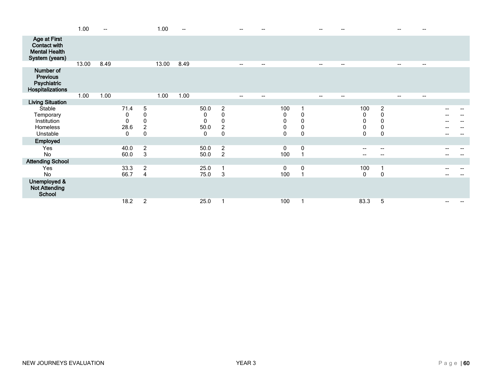|                                                                               | 1.00  | $-$  |                                               |                                                                     | 1.00  |      |                                     |                                                          | --                       |                                     |                                         |                                                 |                          |                          |                                |                                             |                          |    |  |
|-------------------------------------------------------------------------------|-------|------|-----------------------------------------------|---------------------------------------------------------------------|-------|------|-------------------------------------|----------------------------------------------------------|--------------------------|-------------------------------------|-----------------------------------------|-------------------------------------------------|--------------------------|--------------------------|--------------------------------|---------------------------------------------|--------------------------|----|--|
| <b>Age at First</b><br>Contact with<br><b>Mental Health</b><br>System (years) |       |      |                                               |                                                                     |       |      |                                     |                                                          |                          |                                     |                                         |                                                 |                          |                          |                                |                                             |                          |    |  |
|                                                                               | 13.00 | 8.49 |                                               |                                                                     | 13.00 | 8.49 |                                     |                                                          | $\overline{\phantom{a}}$ | $\overline{\phantom{a}}$            |                                         |                                                 | $\qquad \qquad$          | $\overline{\phantom{a}}$ |                                |                                             | $- -$                    | -- |  |
| Number of<br><b>Previous</b><br>Psychiatric<br>Hospitalizations               |       |      |                                               |                                                                     |       |      |                                     |                                                          |                          |                                     |                                         |                                                 |                          |                          |                                |                                             |                          |    |  |
|                                                                               | 1.00  | 1.00 |                                               |                                                                     | 1.00  | 1.00 |                                     |                                                          | $\overline{\phantom{a}}$ | $\hspace{0.05cm}$ $\hspace{0.05cm}$ |                                         |                                                 | $\overline{\phantom{a}}$ | $\overline{\phantom{a}}$ |                                |                                             | $\overline{\phantom{a}}$ | -- |  |
| <b>Living Situation</b>                                                       |       |      |                                               |                                                                     |       |      |                                     |                                                          |                          |                                     |                                         |                                                 |                          |                          |                                |                                             |                          |    |  |
| Stable<br>Temporary<br>Institution<br>Homeless<br>Unstable                    |       |      | 71.4<br>0<br>$\Omega$<br>28.6<br>$\mathbf{0}$ | $\sqrt{5}$<br>$\pmb{0}$<br>$\mathbf 0$<br>$\sqrt{2}$<br>$\mathbf 0$ |       |      | 50.0<br>0<br>$\pmb{0}$<br>50.0<br>0 | $\overline{c}$<br>0<br>0<br>$\overline{\mathbf{c}}$<br>0 |                          |                                     | 100<br>0<br>$\pmb{0}$<br>$\pmb{0}$<br>0 | $\mathbf 0$<br>$\mathbf 0$<br>0<br>$\mathbf{0}$ |                          |                          | 100<br>0<br>0<br>0<br>$\Omega$ | $\overline{\mathbf{c}}$<br>0<br>0<br>0<br>0 |                          |    |  |
| Employed                                                                      |       |      |                                               |                                                                     |       |      |                                     |                                                          |                          |                                     |                                         |                                                 |                          |                          |                                |                                             |                          |    |  |
| Yes<br>No                                                                     |       |      | 40.0<br>60.0                                  | $\overline{c}$<br>$\mathbf{3}$                                      |       |      | 50.0<br>50.0                        | $\overline{c}$<br>$\overline{c}$                         |                          |                                     | $\mathbf 0$<br>100                      | $\mathbf 0$                                     |                          |                          | --                             | --<br>--                                    |                          |    |  |
| <b>Attending School</b>                                                       |       |      |                                               |                                                                     |       |      |                                     |                                                          |                          |                                     |                                         |                                                 |                          |                          |                                |                                             |                          |    |  |
| Yes<br>No                                                                     |       |      | 33.3<br>66.7                                  | $\overline{c}$<br>$\overline{4}$                                    |       |      | 25.0<br>75.0                        | $\mathsf 3$                                              |                          |                                     | 0<br>100                                | 0                                               |                          |                          | 100<br>0                       | 0                                           |                          |    |  |
| Unemployed &<br><b>Not Attending</b><br>School                                |       |      |                                               |                                                                     |       |      |                                     |                                                          |                          |                                     |                                         |                                                 |                          |                          |                                |                                             |                          |    |  |
|                                                                               |       |      | 18.2                                          | $\overline{2}$                                                      |       |      | 25.0                                |                                                          |                          |                                     | 100                                     |                                                 |                          |                          | 83.3                           | 5                                           |                          |    |  |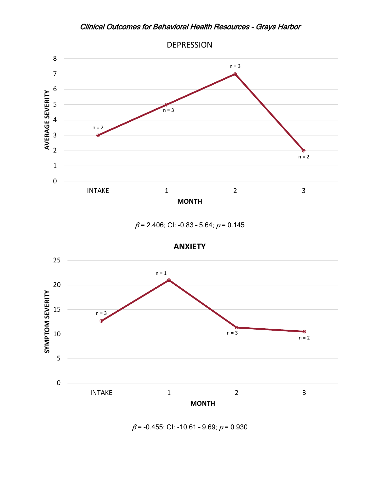<span id="page-60-0"></span>

 $\beta$  = 2.406; CI: -0.83 - 5.64;  $\rho$  = 0.145



 $\beta$  = -0.455; CI: -10.61 - 9.69;  $\rho$  = 0.930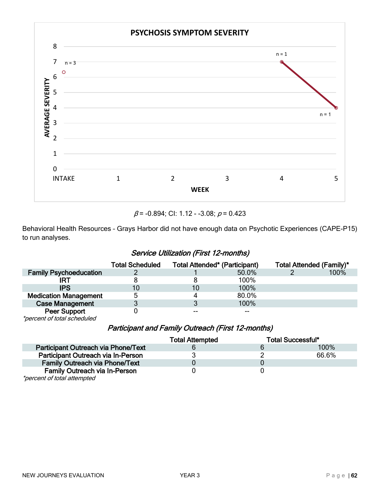

 $\beta$  = -0.894; CI: 1.12 - -3.08;  $\rho$  = 0.423

Behavioral Health Resources – Grays Harbor did not have enough data on Psychotic Experiences (CAPE-P15) to run analyses.

#### Service Utilization (First 12-months)

<span id="page-61-0"></span>

|                                                    | <b>Total Scheduled</b> | <b>Total Attended* (Participant)</b> |       | Total Attended (Family)* |      |
|----------------------------------------------------|------------------------|--------------------------------------|-------|--------------------------|------|
| <b>Family Psychoeducation</b>                      |                        |                                      | 50.0% |                          | 100% |
| IRT                                                |                        |                                      | 100%  |                          |      |
| <b>IPS</b>                                         | 10                     | 10                                   | 100%  |                          |      |
| <b>Medication Management</b>                       |                        |                                      | 80.0% |                          |      |
| <b>Case Management</b>                             |                        | J                                    | 100%  |                          |      |
| <b>Peer Support</b><br>*percent of total scheduled |                        | --                                   |       |                          |      |

#### Participant and Family Outreach (First 12-months)

<span id="page-61-1"></span>

|                                       | <b>Total Attempted</b> | <b>Total Successful*</b> |
|---------------------------------------|------------------------|--------------------------|
| Participant Outreach via Phone/Text   |                        | 100%                     |
| Participant Outreach via In-Person    |                        | 66.6%                    |
| <b>Family Outreach via Phone/Text</b> |                        |                          |
| <b>Family Outreach via In-Person</b>  |                        |                          |
| *percent of total attempted           |                        |                          |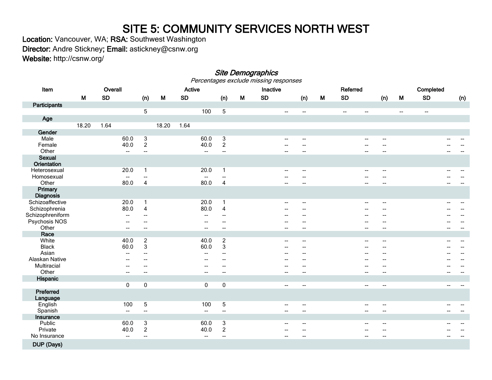## SITE 5: COMMUNITY SERVICES NORTH WEST<br>Location: Vancouver, WA; RSA: Southwest Washington

Director: Andre Stickney; Email: astickney@csnw.org

Website: http://csnw.org/

#### <span id="page-62-1"></span><span id="page-62-0"></span>Site Demographics<br>Percentages exclude missing responses Item Overall Active Inactive Referred Completed M SD (n) M SD (n) M SD (n) M SD (n) M SD (n) **Participants**  5 100 5 -- -- -- -- -- -- Age 18.20 1.64 18.20 1.64 Gender<br>Male Male 60.0 3 60.0 3 60.0 3 -- - - - - - - - - - - - - - -Female 40.0 2 40.0 2 -- -- -- -- -- -- Other -- -- -- -- -- -- -- -- -- -- Sexual **Orientation**<br>Heterosexual Heterosexual 20.0 1 20.0 1 -- -- -- -- -- -- Homosexual -- -- -- -- -- -- -- -- -- -- Other 80.0 4 80.0 4 -- -- -- -- -- -- **Primary Diagnosis** Schizoaffective 20.0 1 20.0 1 -- -- -- -- -- -- Schizophrenia 80.0 4 80.0 4 -- -Schizophreniform -- -- -- -- -- -- -- -- -- -- Psychosis NOS -- -- -- -- -- -- -- -- -- -- Other -- -- -- -- -- -- -- -- -- -- **Race**<br>White White 40.0 2 40.0 2 -- -- -- -- -- -- Black 60.0 3 60.0 3 -- -- -- -- -- -- Asian -- -- -- -- -- -- -- -- -- -- Alaskan Native -- -- -- -- -- -- -- -- -- -- س الله عليه الله عليه الله عليه الله عليه الله عليه الله عليه الله عليه الله عليه الله عليه الله عليه الله علي Other -- -- -- -- -- -- -- -- -- -- Hispanic 0 0 0 0 0 -- -- - - - - - - - - - -Preferred **Language**<br>English English 100 5 100 5 -- -- -- -- -- -- Spanish -- -- -- -- -- -- -- -- -- -- Insurance Public 60.0 3 60.0 3 60.0 3 -- - - - - - - - - - - - -Private 40.0 2 40.0 2 -- -- -- -- -- -- No Insurance , which is a set of the set of the set of the set of the set of the set of the set of the set of t DUP (Days)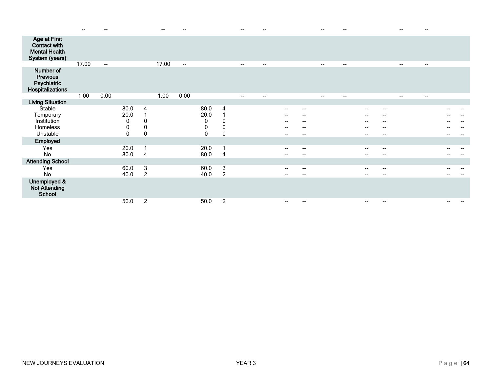|                                                                                      |       |                          |                             |                                                         |       |                          |                                                                          |                                             |                          |                          |                            |                            |                          |                          |                                      |                                                                                                                 |                          | --                       |  |
|--------------------------------------------------------------------------------------|-------|--------------------------|-----------------------------|---------------------------------------------------------|-------|--------------------------|--------------------------------------------------------------------------|---------------------------------------------|--------------------------|--------------------------|----------------------------|----------------------------|--------------------------|--------------------------|--------------------------------------|-----------------------------------------------------------------------------------------------------------------|--------------------------|--------------------------|--|
| <b>Age at First</b><br><b>Contact with</b><br><b>Mental Health</b><br>System (years) |       |                          |                             |                                                         |       |                          |                                                                          |                                             |                          |                          |                            |                            |                          |                          |                                      |                                                                                                                 |                          |                          |  |
|                                                                                      | 17.00 | $\overline{\phantom{0}}$ |                             |                                                         | 17.00 | $\overline{\phantom{a}}$ |                                                                          |                                             | $\overline{\phantom{a}}$ | $\overline{\phantom{a}}$ |                            |                            | $\overline{\phantom{a}}$ | $\overline{\phantom{a}}$ |                                      |                                                                                                                 | $\overline{\phantom{a}}$ | $\overline{\phantom{a}}$ |  |
| Number of<br><b>Previous</b><br>Psychiatric<br>Hospitalizations                      |       |                          |                             |                                                         |       |                          |                                                                          |                                             |                          |                          |                            |                            |                          |                          |                                      |                                                                                                                 |                          |                          |  |
|                                                                                      | 1.00  | 0.00                     |                             |                                                         | 1.00  | 0.00                     |                                                                          |                                             | $\overline{\phantom{a}}$ | $\overline{\phantom{a}}$ |                            |                            | $\overline{\phantom{a}}$ | --                       |                                      |                                                                                                                 | $\overline{\phantom{a}}$ | $\hspace{0.05cm}$        |  |
| <b>Living Situation</b>                                                              |       |                          |                             |                                                         |       |                          |                                                                          |                                             |                          |                          |                            |                            |                          |                          |                                      |                                                                                                                 |                          |                          |  |
| Stable<br>Temporary<br>Institution<br>Homeless<br>Unstable                           |       |                          | 80.0<br>20.0<br>0<br>0<br>0 | $\overline{4}$<br>$\pmb{0}$<br>$\pmb{0}$<br>$\mathbf 0$ |       |                          | 80.0<br>20.0<br>$\pmb{0}$<br>$\begin{smallmatrix}0\0\0\end{smallmatrix}$ | 4<br>$\mathbf{0}$<br>0<br>$\mathbf 0$       |                          |                          | --<br>--<br>--<br>--<br>-- | --<br>--<br>--<br>--<br>-- |                          |                          | $\overline{\phantom{a}}$<br>--<br>-- | $\hspace{0.1mm}-\hspace{0.1mm}-\hspace{0.1mm}$<br>$\overline{\phantom{a}}$<br>$\overline{\phantom{a}}$<br>$- -$ |                          |                          |  |
| Employed                                                                             |       |                          |                             |                                                         |       |                          |                                                                          |                                             |                          |                          |                            |                            |                          |                          |                                      |                                                                                                                 |                          |                          |  |
| Yes<br>No                                                                            |       |                          | 20.0<br>80.0                | $\overline{\mathbf{1}}$<br>$\overline{4}$               |       |                          | 20.0<br>80.0                                                             | 1<br>$\overline{4}$                         |                          |                          | --                         | --<br>--                   |                          |                          | $\overline{\phantom{a}}$<br>--       | $\overline{\phantom{a}}$<br>$\qquad \qquad$                                                                     |                          |                          |  |
| <b>Attending School</b>                                                              |       |                          |                             |                                                         |       |                          |                                                                          |                                             |                          |                          |                            |                            |                          |                          |                                      |                                                                                                                 |                          |                          |  |
| Yes<br>No                                                                            |       |                          | 60.0<br>40.0                | $\ensuremath{\mathsf{3}}$<br>$\overline{c}$             |       |                          | 60.0<br>40.0                                                             | $\ensuremath{\mathsf{3}}$<br>$\overline{c}$ |                          |                          | --<br>--                   | --<br>--                   |                          |                          | --                                   | $\sim$<br>$\qquad \qquad$                                                                                       |                          |                          |  |
| Unemployed &<br><b>Not Attending</b><br>School                                       |       |                          |                             |                                                         |       |                          |                                                                          |                                             |                          |                          |                            |                            |                          |                          |                                      |                                                                                                                 |                          |                          |  |
|                                                                                      |       |                          | 50.0                        | $\overline{2}$                                          |       |                          | 50.0                                                                     | $\overline{2}$                              |                          |                          | --                         | --                         |                          |                          | --                                   | $-$                                                                                                             |                          |                          |  |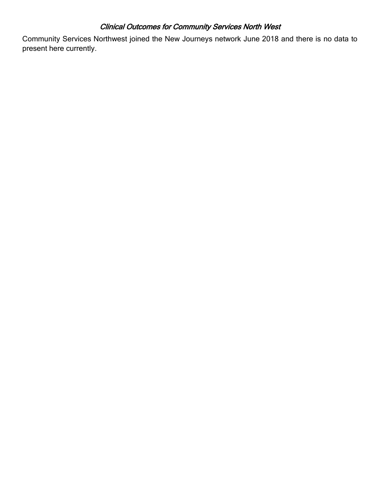#### Clinical Outcomes for Community Services North West

<span id="page-64-0"></span>Community Services Northwest joined the New Journeys network June 2018 and there is no data to present here currently.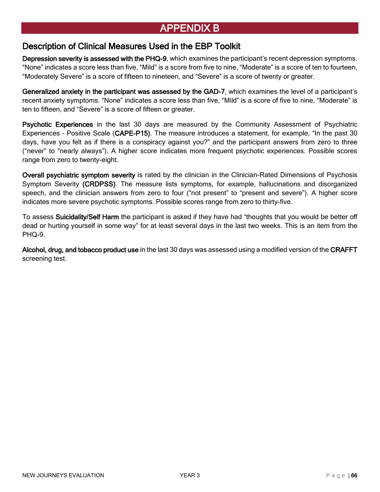## <span id="page-65-0"></span>[APPENDIX B](#page-2-0)

#### <span id="page-65-1"></span>[Description of Clinical Measures Used in the EBP Toolkit](#page-2-0)

Depression severity is assessed with the PHQ-9, which examines the participant's recent depression symptoms. "None" indicates a score less than five, "Mild" is a score from five to nine, "Moderate" is a score of ten to fourteen, "Moderately Severe" is a score of fifteen to nineteen, and "Severe" is a score of twenty or greater.

Generalized anxiety in the participant was assessed by the GAD-7, which examines the level of a participant's recent anxiety symptoms. "None" indicates a score less than five, "Mild" is a score of five to nine, "Moderate" is ten to fifteen, and "Severe" is a score of fifteen or greater.

Psychotic Experiences in the last 30 days are measured by the Community Assessment of Psychiatric Experiences - Positive Scale (CAPE-P15). The measure introduces a statement, for example, "In the past 30 days, have you felt as if there is a conspiracy against you?" and the participant answers from zero to three ("never" to "nearly always"). A higher score indicates more frequent psychotic experiences. Possible scores range from zero to twenty-eight.

Overall psychiatric symptom severity is rated by the clinician in the Clinician-Rated Dimensions of Psychosis Symptom Severity (CRDPSS). The measure lists symptoms, for example, hallucinations and disorganized speech, and the clinician answers from zero to four ("not present" to "present and severe"). A higher score indicates more severe psychotic symptoms. Possible scores range from zero to thirty-five.

To assess Suicidality/Self Harm the participant is asked if they have had "thoughts that you would be better off dead or hurting yourself in some way" for at least several days in the last two weeks. This is an item from the PHQ-9.

Alcohol, drug, and tobacco product use in the last 30 days was assessed using a modified version of the CRAFFT screening test.